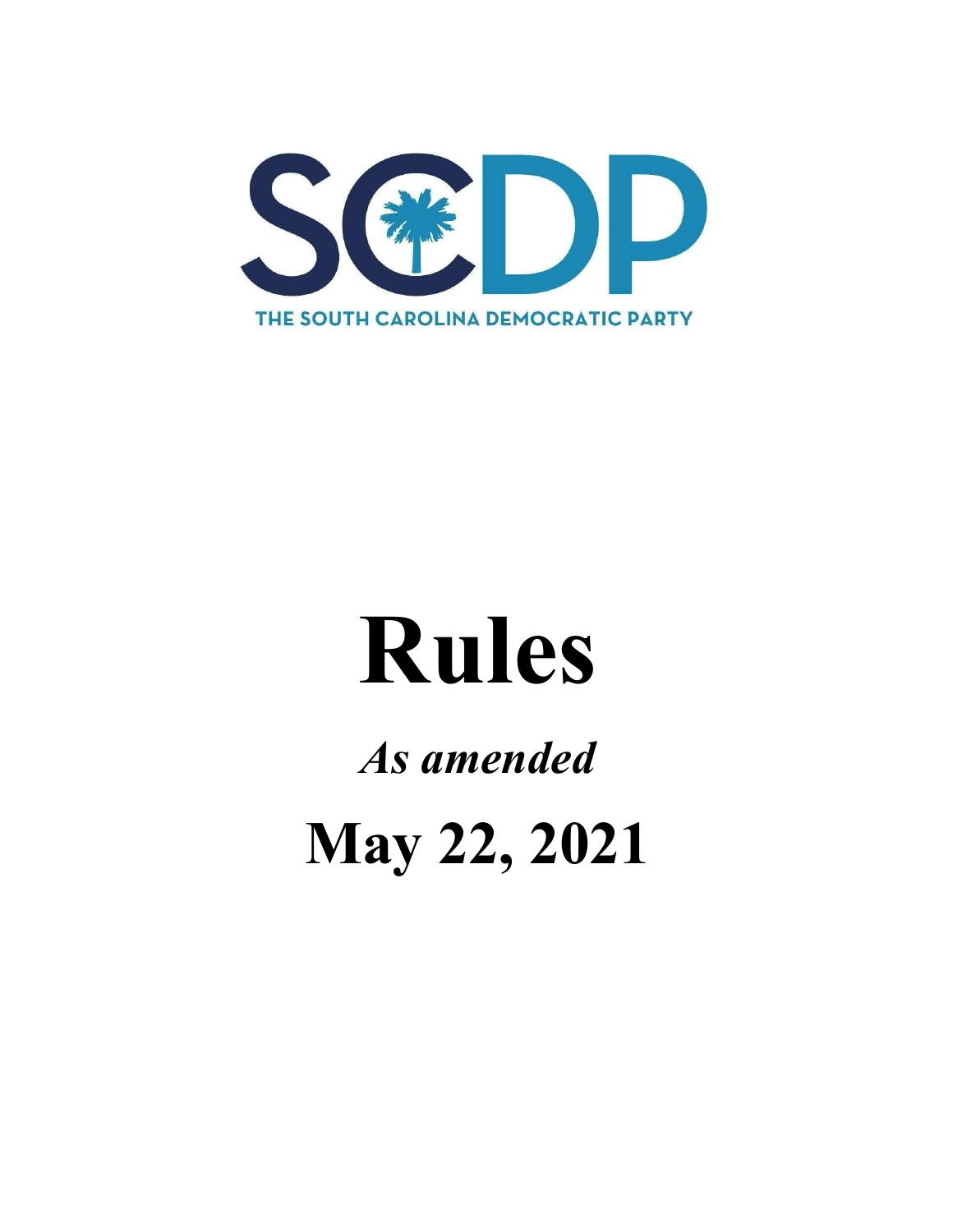

# **Rules**

# *As amended* May 22, 2021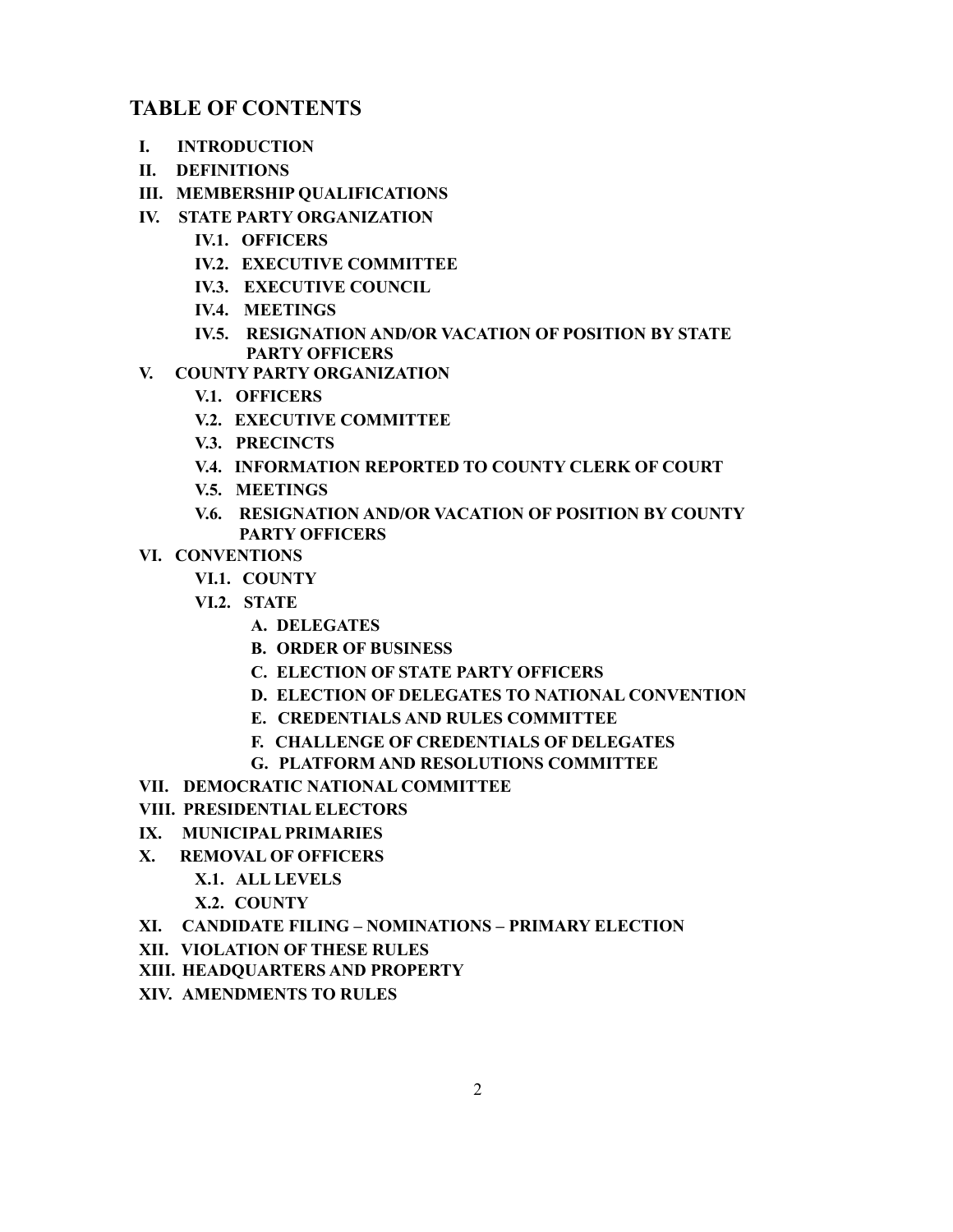# **TABLE OF CONTENTS**

- **I. INTRODUCTION**
- **II. DEFINITIONS**
- **III. MEMBERSHIP QUALIFICATIONS**
- **IV. STATE PARTY ORGANIZATION** 
	- **IV.1. OFFICERS**
	- **IV.2. EXECUTIVE COMMITTEE**
	- **IV.3. EXECUTIVE COUNCIL**
	- **IV.4. MEETINGS**
	- **IV.5. RESIGNATION AND/OR VACATION OF POSITION B< STATE PART< OFFICERS**
- **V. COUNTY PARTY ORGANIZATION** 
	- **V.1. OFFICERS**
	- **V.2. EXECUTIVE COMMITTEE**
	- **V.3. PRECINCTS**
	- **V.4. INFORMATION REPORTED TO COUNT< CLERK OF COURT**
	- **V.5. MEETINGS**
	- **V.6. RESIGNATION AND/OR VACATION OF POSITION B< COUNT< PART< OFFICERS**
- **VI. CONVENTIONS**
	- **VI.1. COUNT<**
	- **VI.2. STATE**
		- **A. DELEGATES**
		- **B. ORDER OF BUSINESS**
		- **C. ELECTION OF STATE PART< OFFICERS**
		- **D. ELECTION OF DELEGATES TO NATIONAL CONVENTION**
		- **E. CREDENTIALS AND RULES COMMITTEE**
		- **F. CHALLENGE OF CREDENTIALS OF DELEGATES**
		- **G. PLATFORM AND RESOLUTIONS COMMITTEE**
- **VII. DEMOCRATIC NATIONAL COMMITTEE**
- **VIII. PRESIDENTIAL ELECTORS**
- **I;. MUNICIPAL PRIMARIES**
- **;. REMOVAL OF OFFICERS**
	- **;.1. ALL LEVELS**
	- **;.2. COUNT<**
- **;I. CANDIDATE FILING ± NOMINATIONS ± PRIMAR< ELECTION**
- **;II. VIOLATION OF THESE RULES**
- **;III. HEADQUARTERS AND PROPERT<**
- **;IV. AMENDMENTS TO RULES**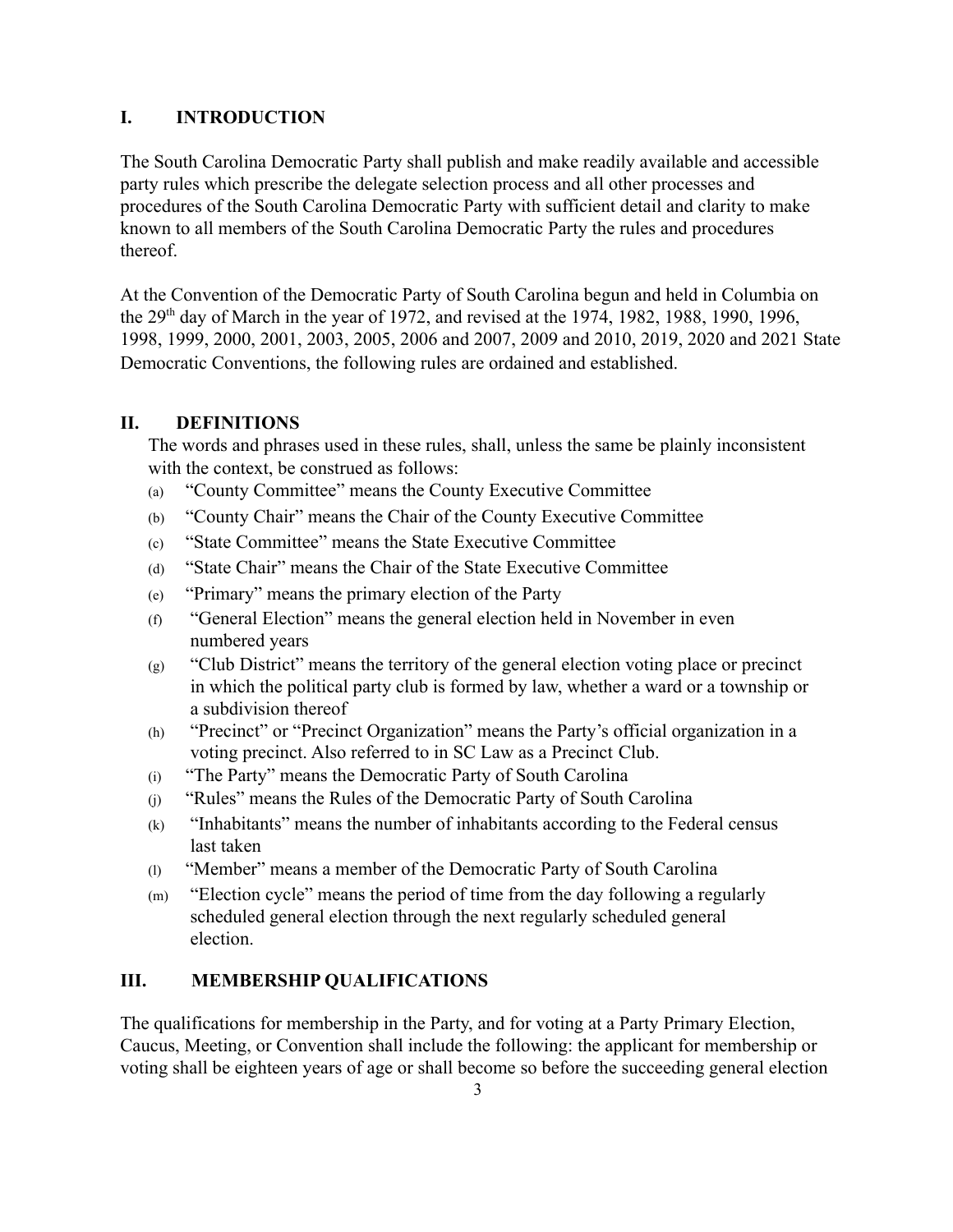# **I. INTRODUCTION**

The South Carolina Democratic Party shall publish and make readily available and accessible party rules which prescribe the delegate selection process and all other processes and procedures of the South Carolina Democratic Party with sufficient detail and clarity to make known to all members of the South Carolina Democratic Party the rules and procedures thereof.

At the Convention of the Democratic Party of South Carolina begun and held in Columbia on the  $29<sup>th</sup>$  day of March in the year of 1972, and revised at the 1974, 1982, 1988, 1990, 1996, 1998, 1999, 2000, 2001, 2003, 2005, 2006 and 2007, 2009 and 2010, 2019, 2020 and 2021 State Democratic Conventions, the following rules are ordained and established.

# **II. DEFINITIONS**

The words and phrases used in these rules, shall, unless the same be plainly inconsistent with the context, be construed as follows:

- $(a)$  "County Committee" means the County Executive Committee
- $(b)$  "County Chair" means the Chair of the County Executive Committee
- (c) "State Committee" means the State Executive Committee"
- (d) "State Chair" means the Chair of the State Executive Committee
- $(e)$  "Primary" means the primary election of the Party
- $(f)$  "General Election" means the general election held in November in even numbered years
- $(g)$  "Club District" means the territory of the general election voting place or precinct in which the political party club is formed by law, whether a ward or a township or a subdivision thereof
- $(h)$  "Precinct" or "Precinct Organization" means the Party's official organization in a voting precinct. Also referred to in SC Law as a Precinct Club.
- $(i)$  "The Party" means the Democratic Party of South Carolina
- $(i)$  "Rules" means the Rules of the Democratic Party of South Carolina
- $(k)$  "Inhabitants" means the number of inhabitants according to the Federal census last taken
- $(1)$  "Member" means a member of the Democratic Party of South Carolina
- $(m)$  "Election cycle" means the period of time from the day following a regularly scheduled general election through the next regularly scheduled general election.

# **III. MEMBERSHIP QUALIFICATIONS**

The qualifications for membership in the Party, and for voting at a Party Primary Election, Caucus, Meeting, or Convention shall include the following: the applicant for membership or voting shall be eighteen years of age or shall become so before the succeeding general election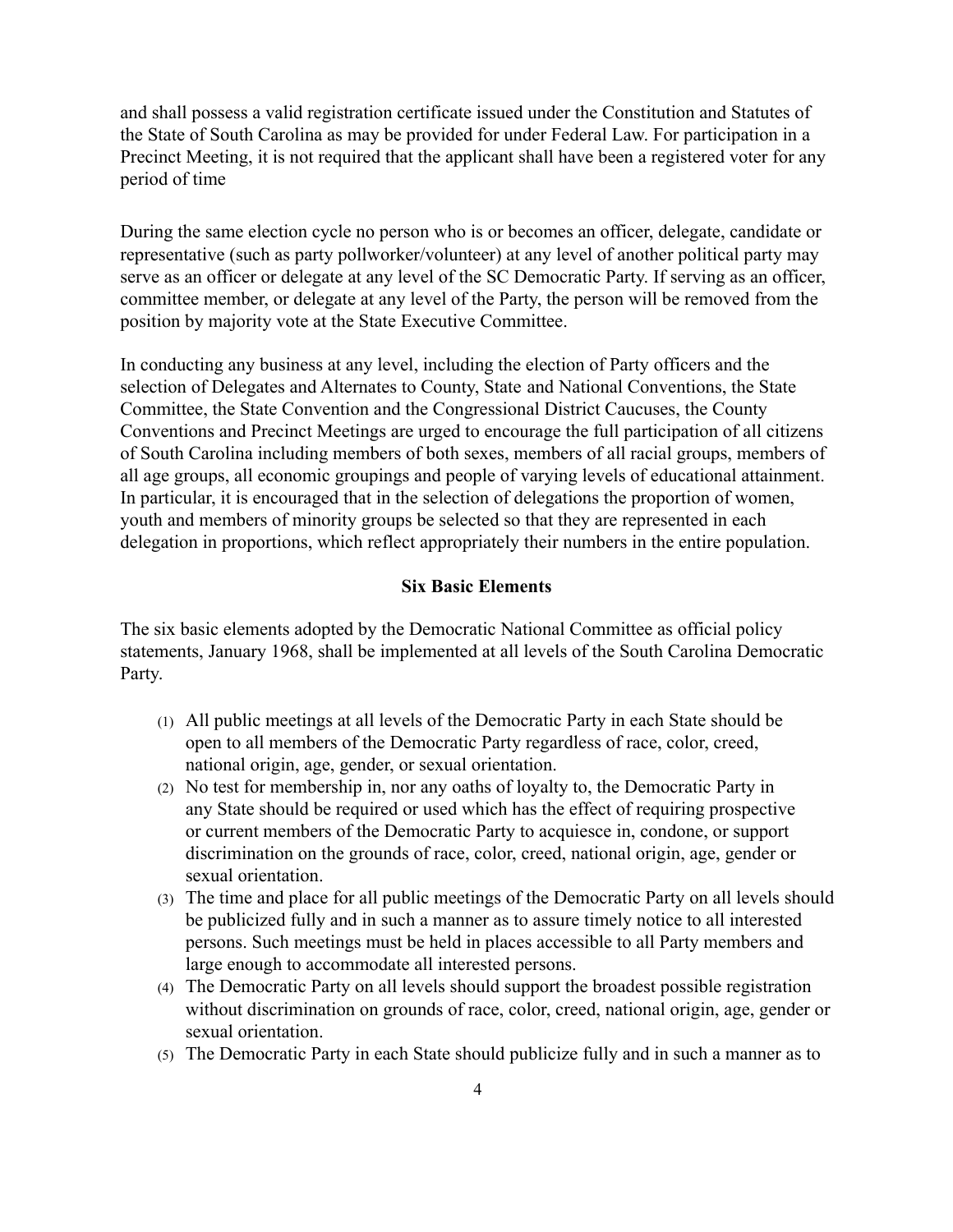and shall possess a Yalid registration certificate issued under the Constitution and Statutes of the State of South Carolina as may be provided for under Federal Law. For participation in a Precinct Meeting, it is not required that the applicant shall have been a registered voter for any period of time

During the same election cycle no person who is or becomes an officer, delegate, candidate or representative (such as party pollworker/volunteer) at any level of another political party may serve as an officer or delegate at any level of the SC Democratic Party. If serving as an officer, committee member, or delegate at any level of the Party, the person will be removed from the position by majority vote at the State Executive Committee.

In conducting any business at any level, including the election of Party officers and the selection of Delegates and Alternates to County, State and National Conventions, the State Committee, the State Convention and the Congressional District Caucuses, the County Conventions and Precinct Meetings are urged to encourage the full participation of all citizens of South Carolina including members of both sexes, members of all racial groups, members of all age groups, all economic groupings and people of varying levels of educational attainment. In particular, it is encouraged that in the selection of delegations the proportion of women, youth and members of minority groups be selected so that they are represented in each delegation in proportions, which reflect appropriately their numbers in the entire population.

#### **Six Basic Elements**

The six basic elements adopted by the Democratic National Committee as official policy statements, January 1968, shall be implemented at all levels of the South Carolina Democratic Party.

- (1) All public meetings at all levels of the Democratic Party in each State should be open to all members of the Democratic Part\ regardless of race, color, creed, national origin, age, gender, or sexual orientation.
- $(2)$  No test for membership in, nor any oaths of loyalty to, the Democratic Party in any State should be required or used which has the effect of requiring prospective or current members of the Democratic Party to acquiesce in, condone, or support discrimination on the grounds of race, color, creed, national origin, age, gender or sexual orientation.
- (3) The time and place for all public meetings of the Democratic Party on all levels should be publicized fully and in such a manner as to assure timely notice to all interested persons. Such meetings must be held in places accessible to all Party members and large enough to accommodate all interested persons.
- (4) The Democratic Party on all levels should support the broadest possible registration without discrimination on grounds of race, color, creed, national origin, age, gender or sexual orientation.
- $(5)$  The Democratic Party in each State should publicize fully and in such a manner as to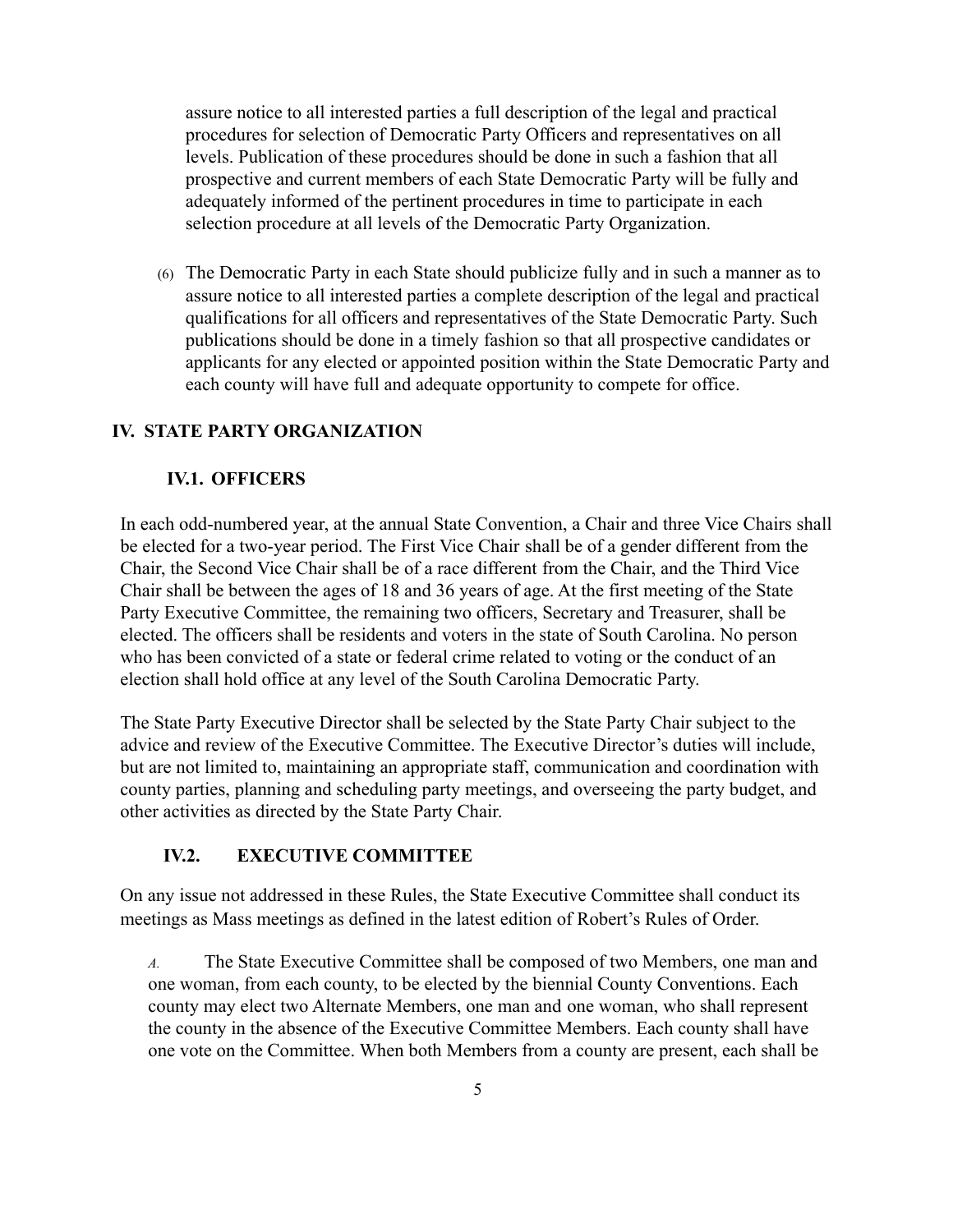assure notice to all interested parties a full description of the legal and practical procedures for selection of Democratic Party Officers and representatives on all levels. Publication of these procedures should be done in such a fashion that all prospective and current members of each State Democratic Party will be fully and adequately informed of the pertinent procedures in time to participate in each selection procedure at all levels of the Democratic Party Organization.

 $(6)$  The Democratic Party in each State should publicize fully and in such a manner as to assure notice to all interested parties a complete description of the legal and practical qualifications for all officers and representatives of the State Democratic Party. Such publications should be done in a timely fashion so that all prospective candidates or applicants for any elected or appointed position within the State Democratic Party and each county will have full and adequate opportunity to compete for office.

# **IV. STATE PARTY ORGANIZATION**

#### **IV.1. OFFICERS**

In each odd-numbered year, at the annual State Convention, a Chair and three Vice Chairs shall be elected for a two-year period. The First Vice Chair shall be of a gender different from the Chair, the Second Vice Chair shall be of a race different from the Chair, and the Third Vice Chair shall be between the ages of  $18$  and  $36$  years of age. At the first meeting of the State Party Executive Committee, the remaining two officers, Secretary and Treasurer, shall be elected. The officers shall be residents and Yoters in the state of South Carolina. No person who has been convicted of a state or federal crime related to voting or the conduct of an election shall hold office at any level of the South Carolina Democratic Party.

The State Party Executive Director shall be selected by the State Party Chair subject to the advice and review of the Executive Committee. The Executive Director's duties will include, but are not limited to, maintaining an appropriate staff, communication and coordination with county parties, planning and scheduling party meetings, and overseeing the party budget, and other activities as directed by the State Party Chair.

# **IV.2. <b>EXECUTIVE COMMITTEE**

On any issue not addressed in these Rules, the State Executive Committee shall conduct its meetings as Mass meetings as defined in the latest edition of Robert's Rules of Order.

*A.* The State Executive Committee shall be composed of two Members, one man and one woman, from each county, to be elected by the biennial County Conventions. Each county may elect two Alternate Members, one man and one woman, who shall represent the county in the absence of the Executive Committee Members. Each county shall have one vote on the Committee. When both Members from a county are present, each shall be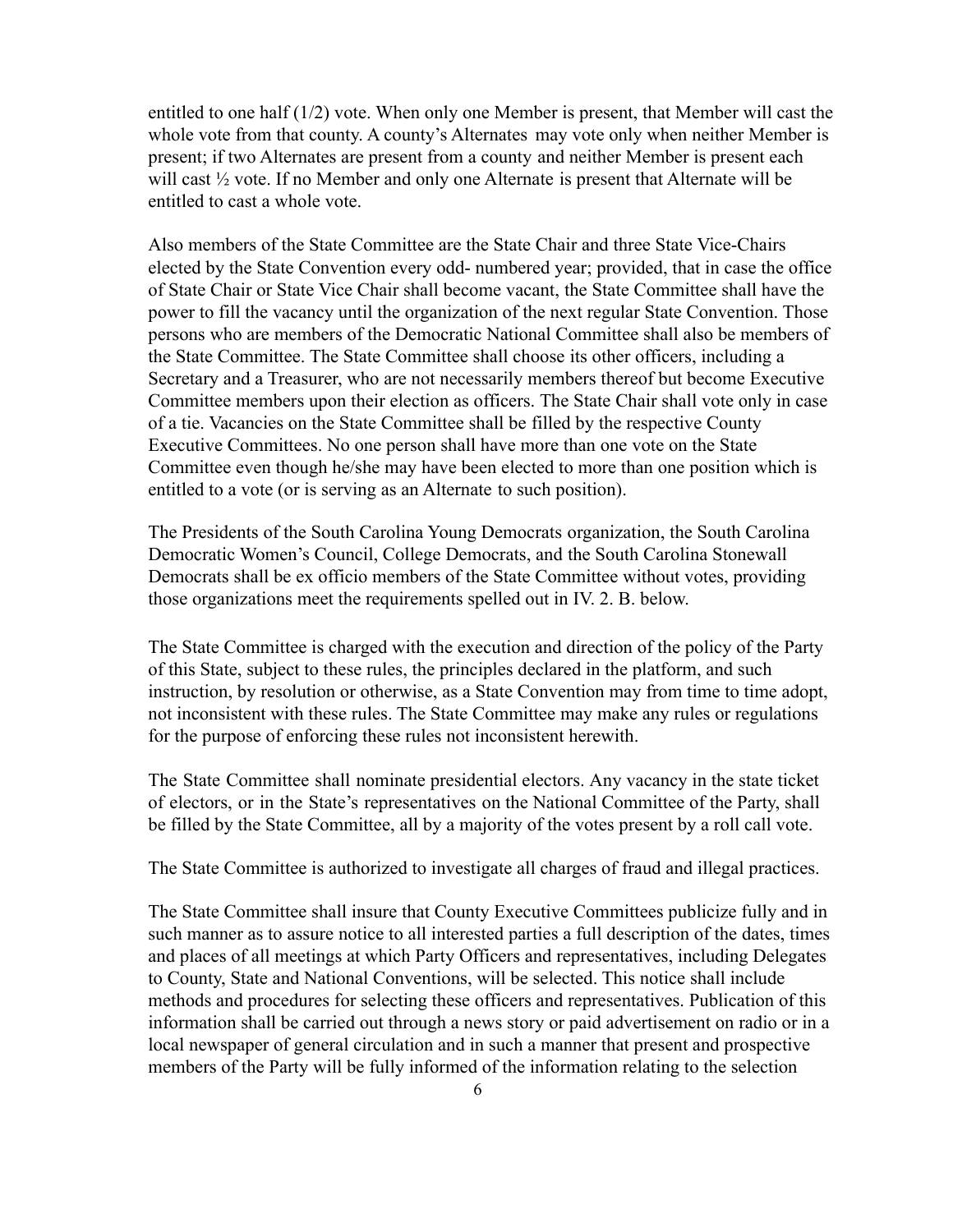entitled to one half  $(1/2)$  vote. When only one Member is present, that Member will cast the whole vote from that county. A county's Alternates may vote only when neither Member is present; if two Alternates are present from a county and neither Member is present each will cast  $\frac{1}{2}$  vote. If no Member and only one Alternate is present that Alternate will be entitled to cast a whole yote.

Also members of the State Committee are the State Chair and three State Vice-Chairs elected by the State Convention every odd- numbered year; provided, that in case the office of State Chair or State Vice Chair shall become vacant, the State Committee shall have the power to fill the vacancy until the organization of the next regular State Convention. Those persons who are members of the Democratic National Committee shall also be members of the State Committee. The State Committee shall choose its other officers, including a Secretary and a Treasurer, who are not necessarily members thereof but become Executive Committee members upon their election as officers. The State Chair shall yote only in case of a tie. Vacancies on the State Committee shall be filled by the respective County Executive Committees. No one person shall have more than one vote on the State Committee even though he/she may have been elected to more than one position which is entitled to a vote (or is serving as an Alternate to such position).

The Presidents of the South Carolina Young Democrats organization, the South Carolina Democratic Women's Council, College Democrats, and the South Carolina Stonewall Democrats shall be ex officio members of the State Committee without votes, providing those organizations meet the requirements spelled out in IV. 2. B. below.

The State Committee is charged with the execution and direction of the policy of the Party of this State, subject to these rules, the principles declared in the platform, and such instruction, by resolution or otherwise, as a State Convention may from time to time adopt, not inconsistent with these rules. The State Committee may make any rules or regulations for the purpose of enforcing these rules not inconsistent herewith.

The State Committee shall nominate presidential electors. Any vacancy in the state ticket of electors, or in the State's representatives on the National Committee of the Party, shall be filled by the State Committee, all by a majority of the votes present by a roll call vote.

The State Committee is authorized to investigate all charges of fraud and illegal practices.

The State Committee shall insure that County Executive Committees publicize fully and in such manner as to assure notice to all interested parties a full description of the dates, times and places of all meetings at which Party Officers and representatives, including Delegates to County, State and National Conventions, will be selected. This notice shall include methods and procedures for selecting these officers and representatives. Publication of this information shall be carried out through a news story or paid advertisement on radio or in a local newspaper of general circulation and in such a manner that present and prospective members of the Party will be fully informed of the information relating to the selection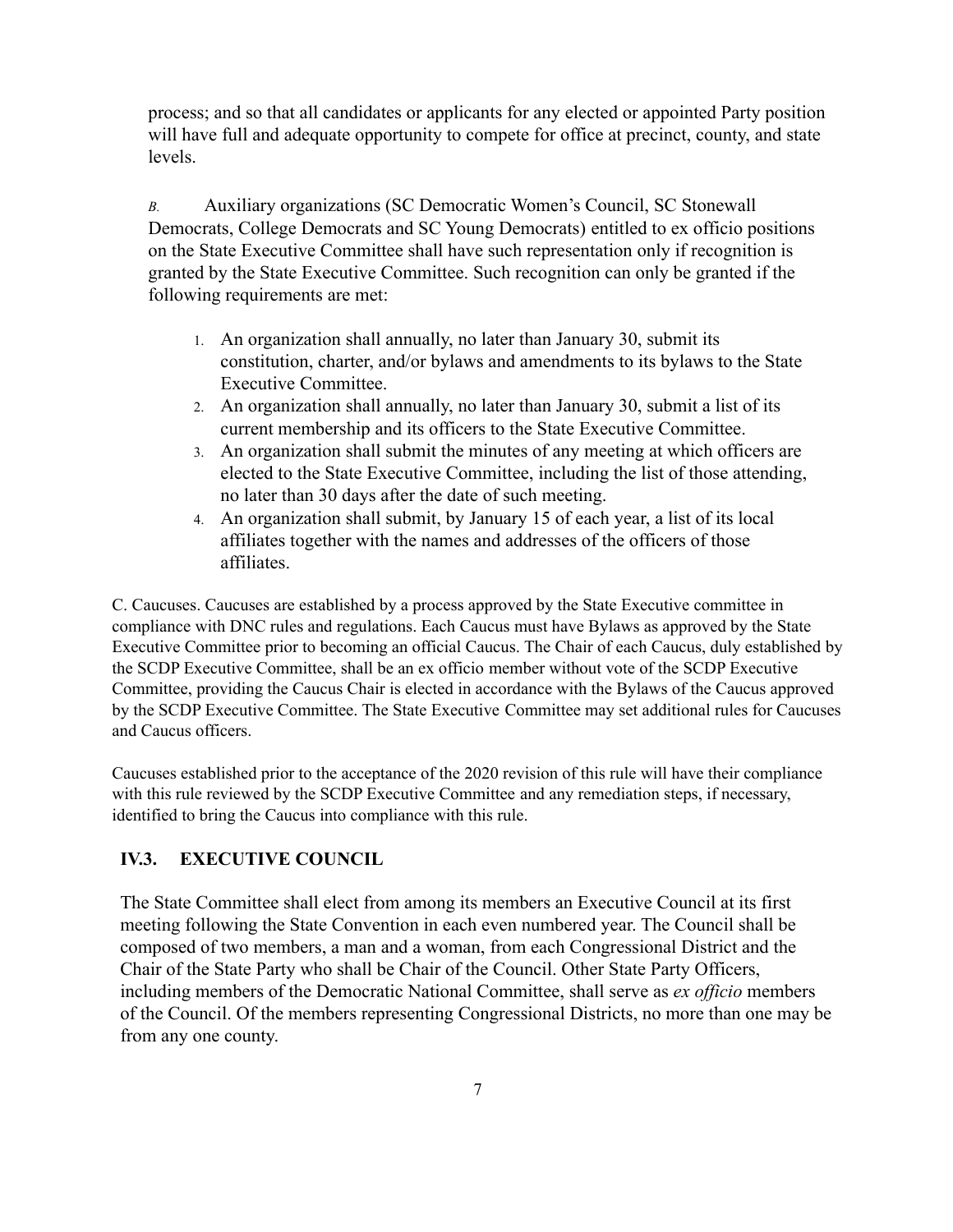process; and so that all candidates or applicants for any elected or appointed Party position will have full and adequate opportunity to compete for office at precinct, county, and state levels

*B.* Auxiliary organizations (SC Democratic Women's Council, SC Stonewall Democrats, College Democrats and SC Young Democrats) entitled to ex officio positions on the State Executive Committee shall have such representation only if recognition is granted by the State Executive Committee. Such recognition can only be granted if the following requirements are met:

- 1. An organization shall annually, no later than January 30, submit its constitution, charter, and/or bylaws and amendments to its bylaws to the State Executive Committee.
- 2. An organization shall annually, no later than January 30, submit a list of its current membership and its officers to the State Executive Committee.
- 3. An organization shall submit the minutes of any meeting at which officers are elected to the State Executive Committee, including the list of those attending, no later than 30 days after the date of such meeting.
- 4. An organization shall submit, by January 15 of each year, a list of its local affiliates together with the names and addresses of the officers of those affiliates.

C. Caucuses. Caucuses are established by a process approved by the State Executive committee in compliance with DNC rules and regulations. Each Caucus must have Bylaws as approved by the State Executive Committee prior to becoming an official Caucus. The Chair of each Caucus, duly established by the SCDP Executive Committee, shall be an ex officio member without vote of the SCDP Executive Committee, providing the Caucus Chair is elected in accordance with the Bylaws of the Caucus approyed by the SCDP Executive Committee. The State Executive Committee may set additional rules for Caucuses and Caucus officers.

Caucuses established prior to the acceptance of the 2020 revision of this rule will have their compliance with this rule reviewed by the SCDP Executive Committee and any remediation steps, if necessary, identified to bring the Caucus into compliance with this rule.

# **IV.3. EXECUTIVE COUNCIL**

The State Committee shall elect from among its members an Executive Council at its first meeting following the State Convention in each even numbered year. The Council shall be composed of two members, a man and a woman, from each Congressional District and the Chair of the State Party who shall be Chair of the Council. Other State Party Officers, including members of the Democratic National Committee, shall serve as *ex officio* members of the Council. Of the members representing Congressional Districts, no more than one ma\ be from any one county.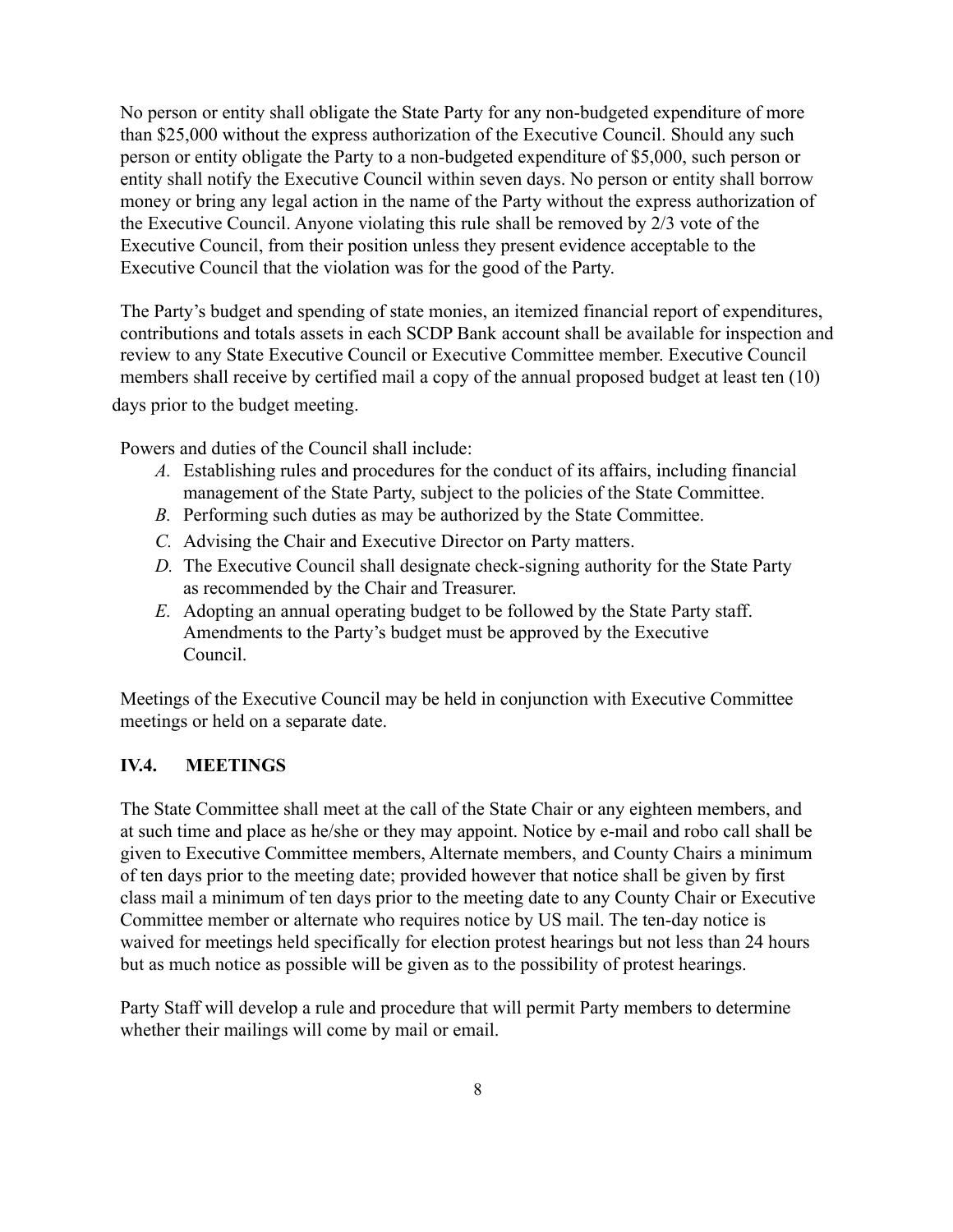No person or entity shall obligate the State Party for any non-budgeted expenditure of more than \$25,000 without the express authorization of the Executive Council. Should any such person or entity obligate the Party to a non-budgeted expenditure of \$5,000, such person or entity shall notify the Executive Council within seven days. No person or entity shall borrow money or bring any legal action in the name of the Party without the express authorization of the Executive Council. Anyone violating this rule shall be removed by  $2/3$  vote of the Executive Council, from their position unless they present evidence acceptable to the Executive Council that the violation was for the good of the Party.

The Party's budget and spending of state monies, an itemized financial report of expenditures, contributions and totals assets in each SCDP Bank account shall be available for inspection and review to any State Executive Council or Executive Committee member. Executive Council members shall receive by certified mail a copy of the annual proposed budget at least ten  $(10)$ days prior to the budget meeting.

Powers and duties of the Council shall include:

- *A.* Establishing rules and procedures for the conduct of its affairs, including financial management of the State Party, subject to the policies of the State Committee.
- *B.* Performing such duties as may be authorized by the State Committee.
- *C.* Advising the Chair and Executive Director on Party matters.
- *D.* The Executive Council shall designate check-signing authority for the State Party as recommended by the Chair and Treasurer.
- *E.* Adopting an annual operating budget to be followed by the State Party staff. Amendments to the Party's budget must be approved by the Executive Council.

Meetings of the Executive Council may be held in conjunction with Executive Committee meetings or held on a separate date.

# **IV.4. MEETINGS**

The State Committee shall meet at the call of the State Chair or any eighteen members, and at such time and place as he/she or they may appoint. Notice by e-mail and robo call shall be given to Executive Committee members, Alternate members, and County Chairs a minimum of ten days prior to the meeting date; provided however that notice shall be given by first class mail a minimum of ten days prior to the meeting date to any County Chair or Executive Committee member or alternate who requires notice by US mail. The ten-day notice is waived for meetings held specifically for election protest hearings but not less than 24 hours but as much notice as possible will be given as to the possibility of protest hearings.

Party Staff will develop a rule and procedure that will permit Party members to determine whether their mailings will come by mail or email.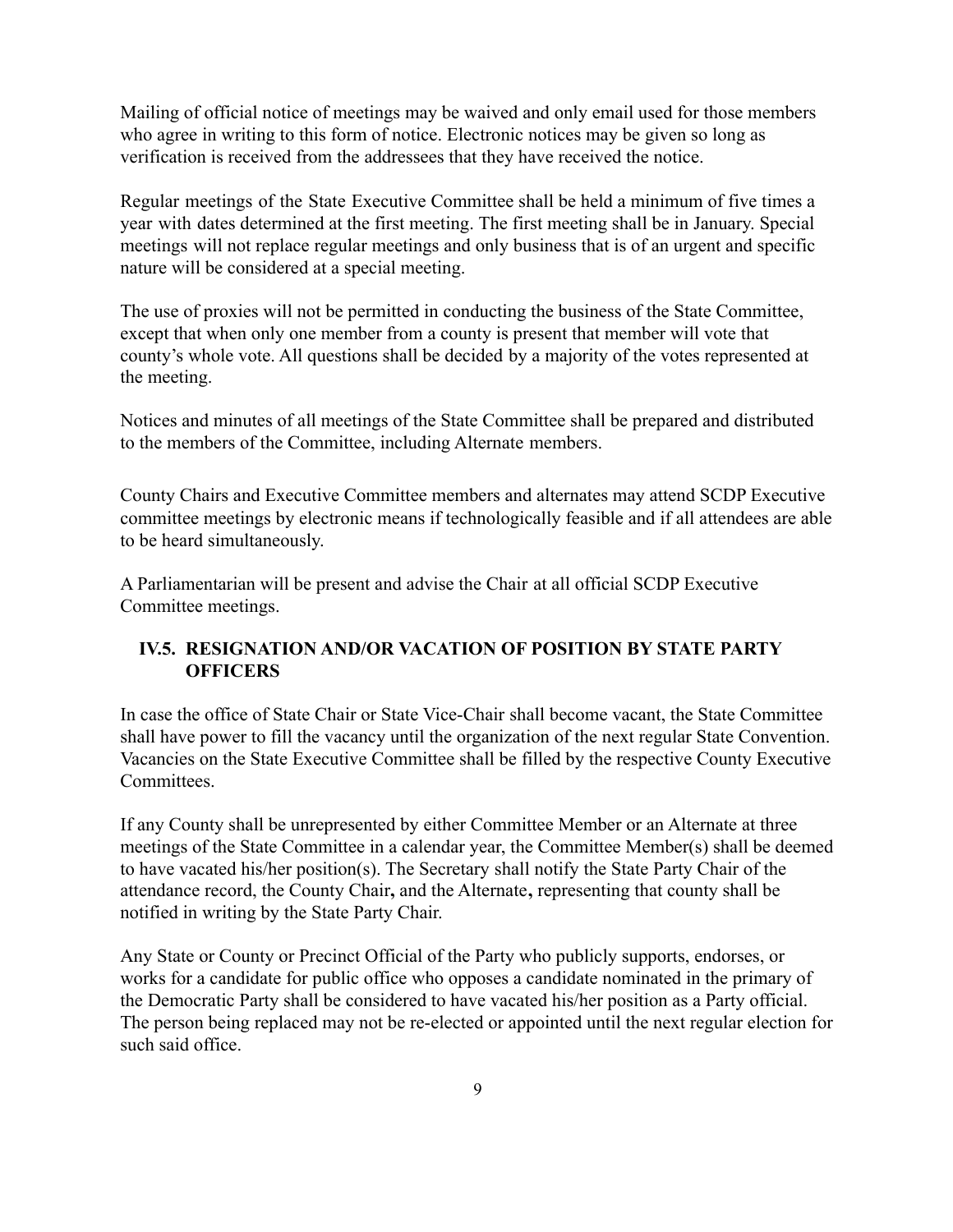Mailing of official notice of meetings may be waived and only email used for those members who agree in writing to this form of notice. Electronic notices may be given so long as verification is received from the addressees that they have received the notice.

Regular meetings of the State Executive Committee shall be held a minimum of five times a year with dates determined at the first meeting. The first meeting shall be in January. Special meetings will not replace regular meetings and only business that is of an urgent and specific nature will be considered at a special meeting.

The use of proxies will not be permitted in conducting the business of the State Committee, except that when only one member from a county is present that member will vote that county's whole vote. All questions shall be decided by a majority of the votes represented at the meeting.

Notices and minutes of all meetings of the State Committee shall be prepared and distributed to the members of the Committee, including Alternate members.

County Chairs and Executive Committee members and alternates may attend SCDP Executive committee meetings by electronic means if technologically feasible and if all attendees are able to be heard simultaneousl\.

A Parliamentarian will be present and advise the Chair at all official SCDP Executive Committee meetings.

# **IV.5. RESIGNATION AND/OR VACATION OF POSITION BY STATE PARTY OFFICERS**

In case the office of State Chair or State Vice-Chair shall become Yacant, the State Committee shall have power to fill the vacancy until the organization of the next regular State Convention. Vacancies on the State Executive Committee shall be filled by the respective County Executive **Committees** 

If any County shall be unrepresented by either Committee Member or an Alternate at three meetings of the State Committee in a calendar year, the Committee Member(s) shall be deemed to have vacated his/her position(s). The Secretary shall notify the State Party Chair of the attendance record, the County Chair, and the Alternate, representing that county shall be notified in writing by the State Party Chair.

Any State or County or Precinct Official of the Party who publicly supports, endorses, or works for a candidate for public office who opposes a candidate nominated in the primary of the Democratic Party shall be considered to have vacated his/her position as a Party official. The person being replaced may not be re-elected or appointed until the next regular election for such said office.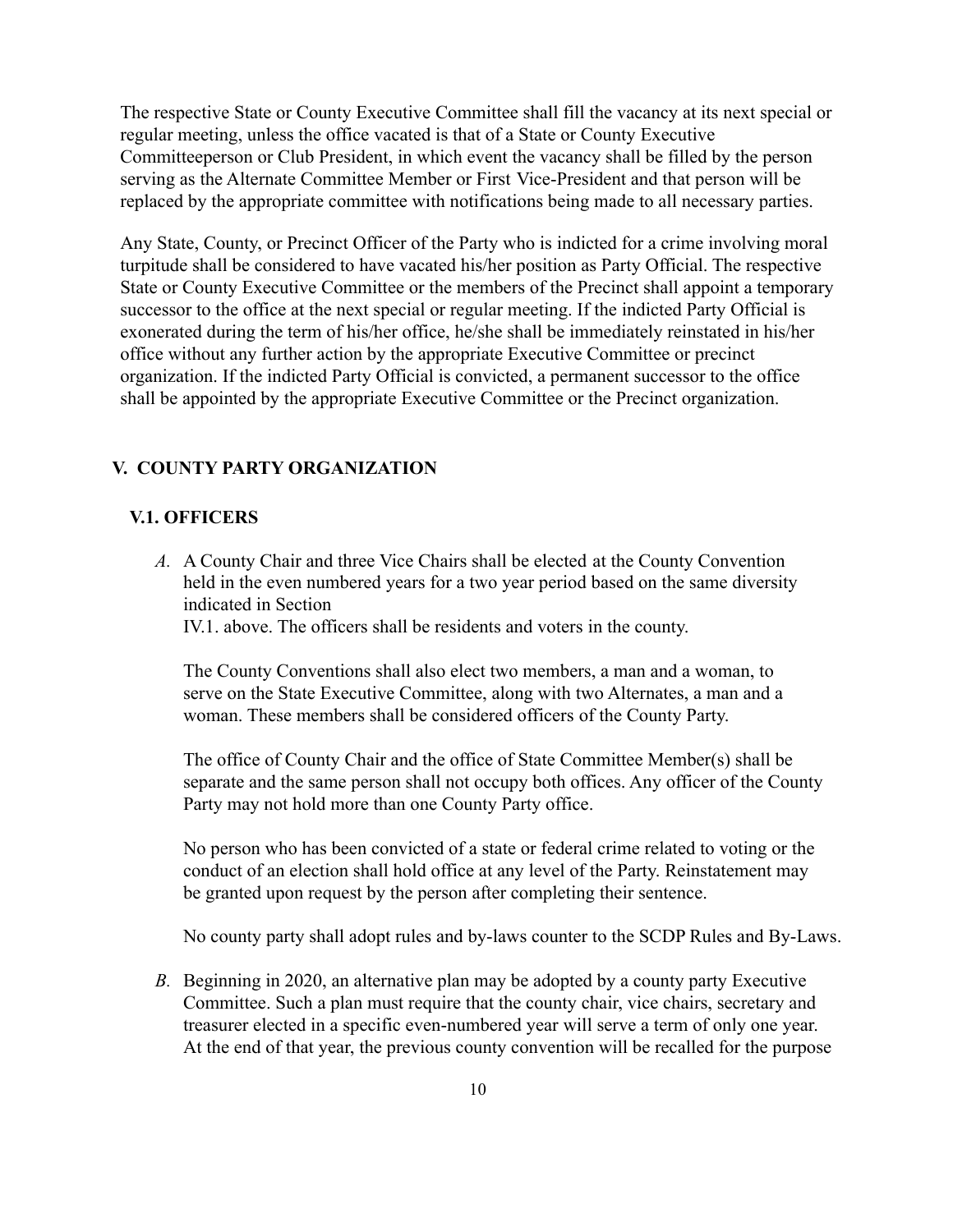The respective State or County Executive Committee shall fill the vacancy at its next special or regular meeting, unless the office vacated is that of a State or County Executive Committeeperson or Club President, in which event the yacancy shall be filled by the person serving as the Alternate Committee Member or First Vice-President and that person will be replaced by the appropriate committee with notifications being made to all necessary parties.

Any State, County, or Precinct Officer of the Party who is indicted for a crime involving moral turpitude shall be considered to have vacated his/her position as Party Official. The respective State or County Executive Committee or the members of the Precinct shall appoint a temporary successor to the office at the next special or regular meeting. If the indicted Party Official is exonerated during the term of his/her office, he/she shall be immediately reinstated in his/her office without any further action by the appropriate Executive Committee or precinct organization. If the indicted Party Official is convicted, a permanent successor to the office shall be appointed by the appropriate Executive Committee or the Precinct organization.

#### **V. COUNTY PARTY ORGANIZATION**

#### **V.1. OFFICERS**

A. A County Chair and three Vice Chairs shall be elected at the County Convention held in the even numbered years for a two year period based on the same diversity indicated in Section

IV.1. above. The officers shall be residents and voters in the county.

The County Conventions shall also elect two members, a man and a woman, to serve on the State Executive Committee, along with two Alternates, a man and a woman. These members shall be considered officers of the County Party.

The office of County Chair and the office of State Committee Member(s) shall be separate and the same person shall not occupy both offices. Any officer of the County Party may not hold more than one County Party office.

No person who has been convicted of a state or federal crime related to voting or the conduct of an election shall hold office at any level of the Party. Reinstatement may be granted upon request by the person after completing their sentence.

No county party shall adopt rules and by-laws counter to the SCDP Rules and By-Laws.

*B.* Beginning in 2020, an alternative plan may be adopted by a county party Executive Committee. Such a plan must require that the county chair, vice chairs, secretary and treasurer elected in a specific even-numbered year will serve a term of only one year. At the end of that year, the previous county convention will be recalled for the purpose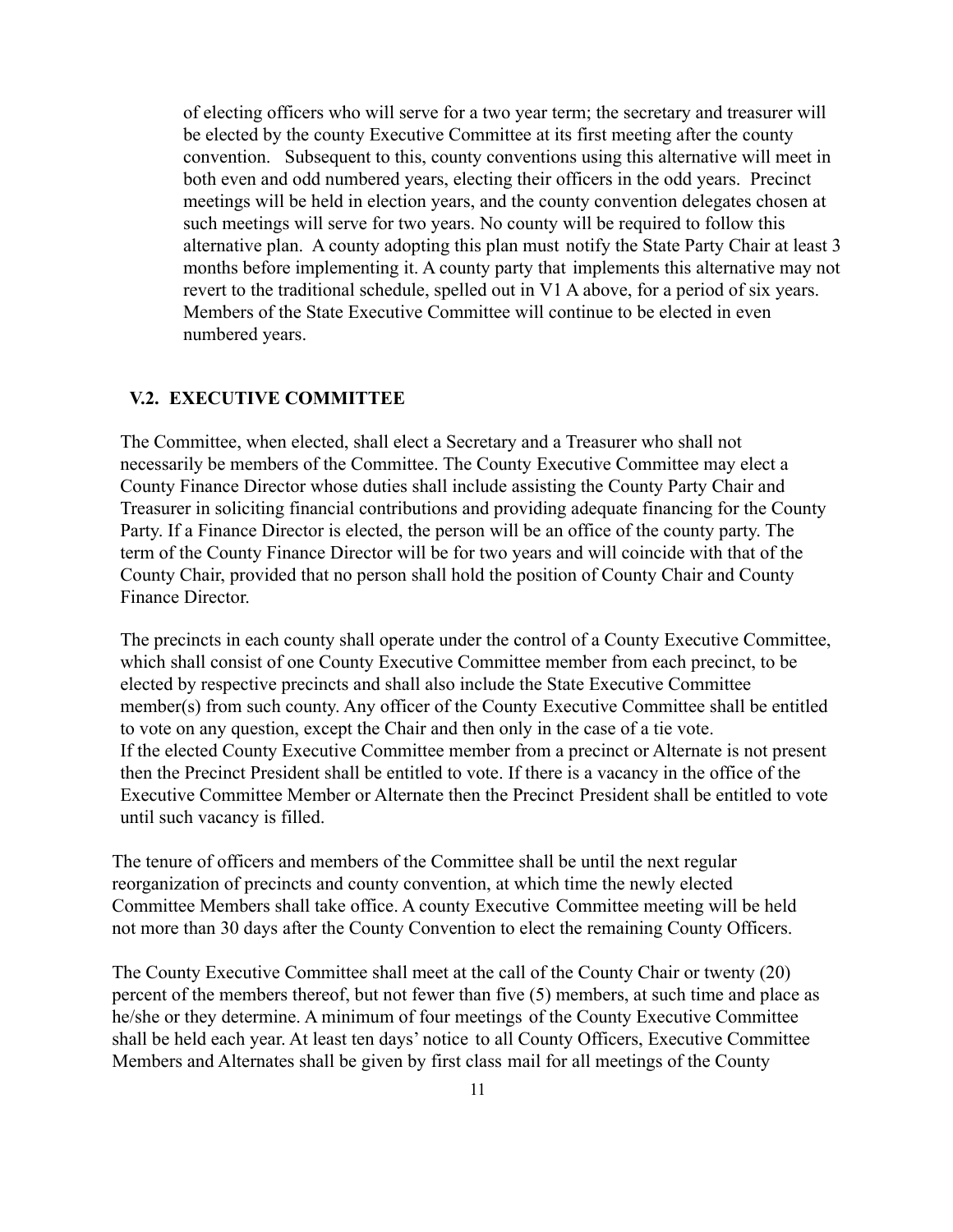of electing officers who will serve for a two year term; the secretary and treasurer will be elected by the county Executive Committee at its first meeting after the county convention. Subsequent to this, county conventions using this alternative will meet in both even and odd numbered years, electing their officers in the odd years. Precinct meetings will be held in election years, and the county convention delegates chosen at such meetings will serve for two years. No county will be required to follow this alternative plan. A county adopting this plan must notify the State Party Chair at least  $3$ months before implementing it. A county party that implements this alternative may not revert to the traditional schedule, spelled out in V1 A above, for a period of six years. Members of the State Executive Committee will continue to be elected in even numbered years.

#### **V.2. EXECUTIVE COMMITTEE**

The Committee, when elected, shall elect a Secretary and a Treasurer who shall not necessarily be members of the Committee. The County Executive Committee may elect a County Finance Director whose duties shall include assisting the County Party Chair and Treasurer in soliciting financial contributions and providing adequate financing for the County Party. If a Finance Director is elected, the person will be an office of the county party. The term of the County Finance Director will be for two years and will coincide with that of the County Chair, provided that no person shall hold the position of County Chair and County Finance Director.

The precincts in each county shall operate under the control of a County Executive Committee, which shall consist of one County Executive Committee member from each precinct, to be elected by respective precincts and shall also include the State Executive Committee member(s) from such county. Any officer of the County Executive Committee shall be entitled to vote on any question, except the Chair and then only in the case of a tie vote. If the elected County Executive Committee member from a precinct or Alternate is not present then the Precinct President shall be entitled to vote. If there is a vacancy in the office of the Executive Committee Member or Alternate then the Precinct President shall be entitled to vote until such vacancy is filled.

The tenure of officers and members of the Committee shall be until the next regular reorganization of precincts and county convention, at which time the newly elected Committee Members shall take office. A county Executive Committee meeting will be held not more than 30 days after the County Convention to elect the remaining County Officers.

The County Executive Committee shall meet at the call of the County Chair or twenty  $(20)$ percent of the members thereof, but not fewer than five  $(5)$  members, at such time and place as he/she or they determine. A minimum of four meetings of the County Executive Committee shall be held each year. At least ten days' notice to all County Officers, Executive Committee Members and Alternates shall be given by first class mail for all meetings of the County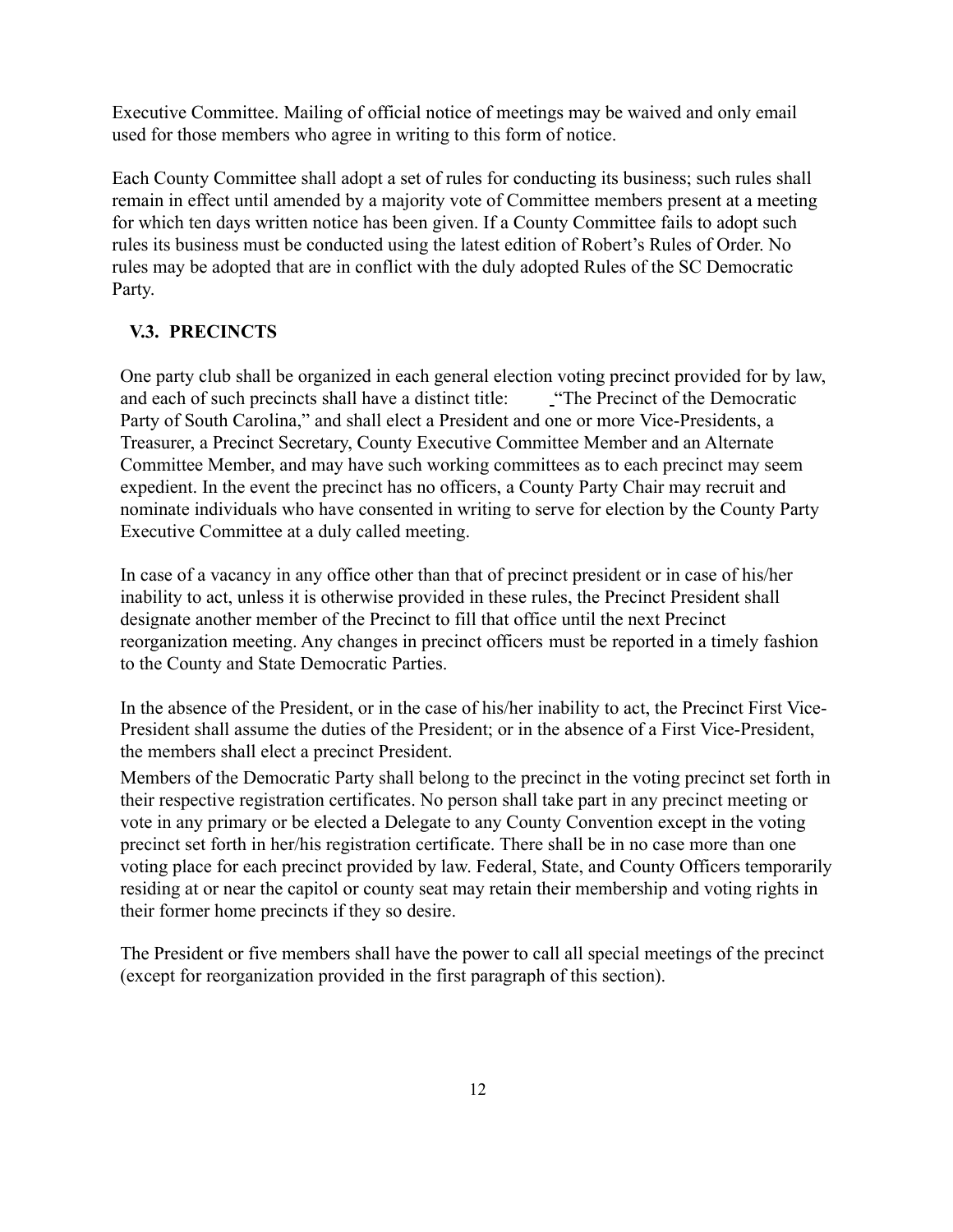Executive Committee. Mailing of official notice of meetings may be waived and only email used for those members who agree in writing to this form of notice.

Each County Committee shall adopt a set of rules for conducting its business; such rules shall remain in effect until amended by a majority vote of Committee members present at a meeting for which ten days written notice has been given. If a County Committee fails to adopt such rules its business must be conducted using the latest edition of Robert's Rules of Order. No rules may be adopted that are in conflict with the duly adopted Rules of the SC Democratic Party.

# **V.3. PRECINCTS**

One party club shall be organized in each general election voting precinct provided for by law, and each of such precincts shall have a distinct title: "The Precinct of the Democratic Party of South Carolina," and shall elect a President and one or more Vice-Presidents, a Treasurer, a Precinct Secretary, County Executive Committee Member and an Alternate Committee Member, and may have such working committees as to each precinct may seem expedient. In the event the precinct has no officers, a County Party Chair may recruit and nominate individuals who have consented in writing to serve for election by the County Party Executive Committee at a duly called meeting.

In case of a yacancy in any office other than that of precinct president or in case of his/her inability to act, unless it is otherwise provided in these rules, the Precinct President shall designate another member of the Precinct to fill that office until the next Precinct reorganization meeting. Any changes in precinct officers must be reported in a timely fashion to the County and State Democratic Parties.

In the absence of the President, or in the case of his/her inability to act, the Precinct First Vice-President shall assume the duties of the President; or in the absence of a First Vice-President, the members shall elect a precinct President.

Members of the Democratic Party shall belong to the precinct in the voting precinct set forth in their respective registration certificates. No person shall take part in any precinct meeting or yote in any primary or be elected a Delegate to any County Convention except in the yoting precinct set forth in her/his registration certificate. There shall be in no case more than one voting place for each precinct provided by law. Federal, State, and County Officers temporarily residing at or near the capitol or county seat may retain their membership and voting rights in their former home precincts if they so desire.

The President or five members shall have the power to call all special meetings of the precinct (except for reorganization provided in the first paragraph of this section).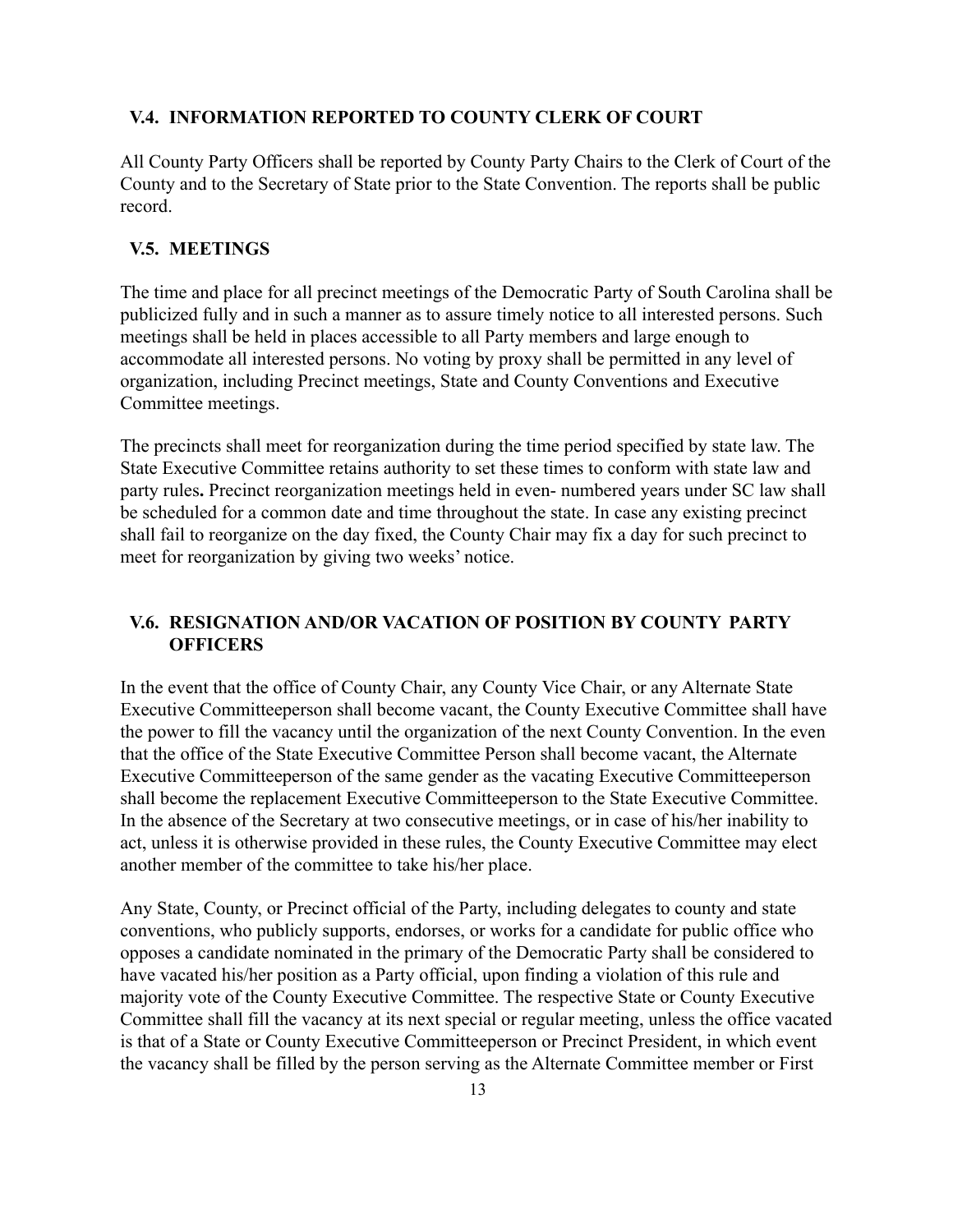#### **V.4. INFORMATION REPORTED TO COUNTY CLERK OF COURT**

All County Party Officers shall be reported by County Party Chairs to the Clerk of Court of the County and to the Secretary of State prior to the State Convention. The reports shall be public record.

#### **V.5. MEETINGS**

The time and place for all precinct meetings of the Democratic Party of South Carolina shall be publicized fully and in such a manner as to assure timely notice to all interested persons. Such meetings shall be held in places accessible to all Party members and large enough to accommodate all interested persons. No voting by proxy shall be permitted in any level of organization, including Precinct meetings, State and County Conventions and Executive Committee meetings.

The precincts shall meet for reorganization during the time period specified by state law. The State Executive Committee retains authority to set these times to conform with state law and party rules. Precinct reorganization meetings held in even- numbered years under SC law shall be scheduled for a common date and time throughout the state. In case any existing precinct shall fail to reorganize on the day fixed, the County Chair may fix a day for such precinct to meet for reorganization by giving two weeks' notice.

#### **V.6. RESIGNATION AND/OR VACATION OF POSITION B< COUNT< PART< OFFICERS**

In the event that the office of County Chair, any County Vice Chair, or any Alternate State Executive Committeeperson shall become vacant, the County Executive Committee shall have the power to fill the vacancy until the organization of the next County Convention. In the even that the office of the State Executive Committee Person shall become vacant, the Alternate Executive Committeeperson of the same gender as the vacating Executive Committeeperson shall become the replacement Executive Committeeperson to the State Executive Committee. In the absence of the Secretary at two consecutive meetings, or in case of his/her inability to act, unless it is otherwise provided in these rules, the County Executive Committee may elect another member of the committee to take his/her place.

Any State, County, or Precinct official of the Party, including delegates to county and state conventions, who publicly supports, endorses, or works for a candidate for public office who opposes a candidate nominated in the primary of the Democratic Party shall be considered to have vacated his/her position as a Party official, upon finding a violation of this rule and majority vote of the County Executive Committee. The respective State or County Executive Committee shall fill the vacancy at its next special or regular meeting, unless the office vacated is that of a State or County Executive Committeeperson or Precinct President, in which event the vacancy shall be filled by the person serving as the Alternate Committee member or First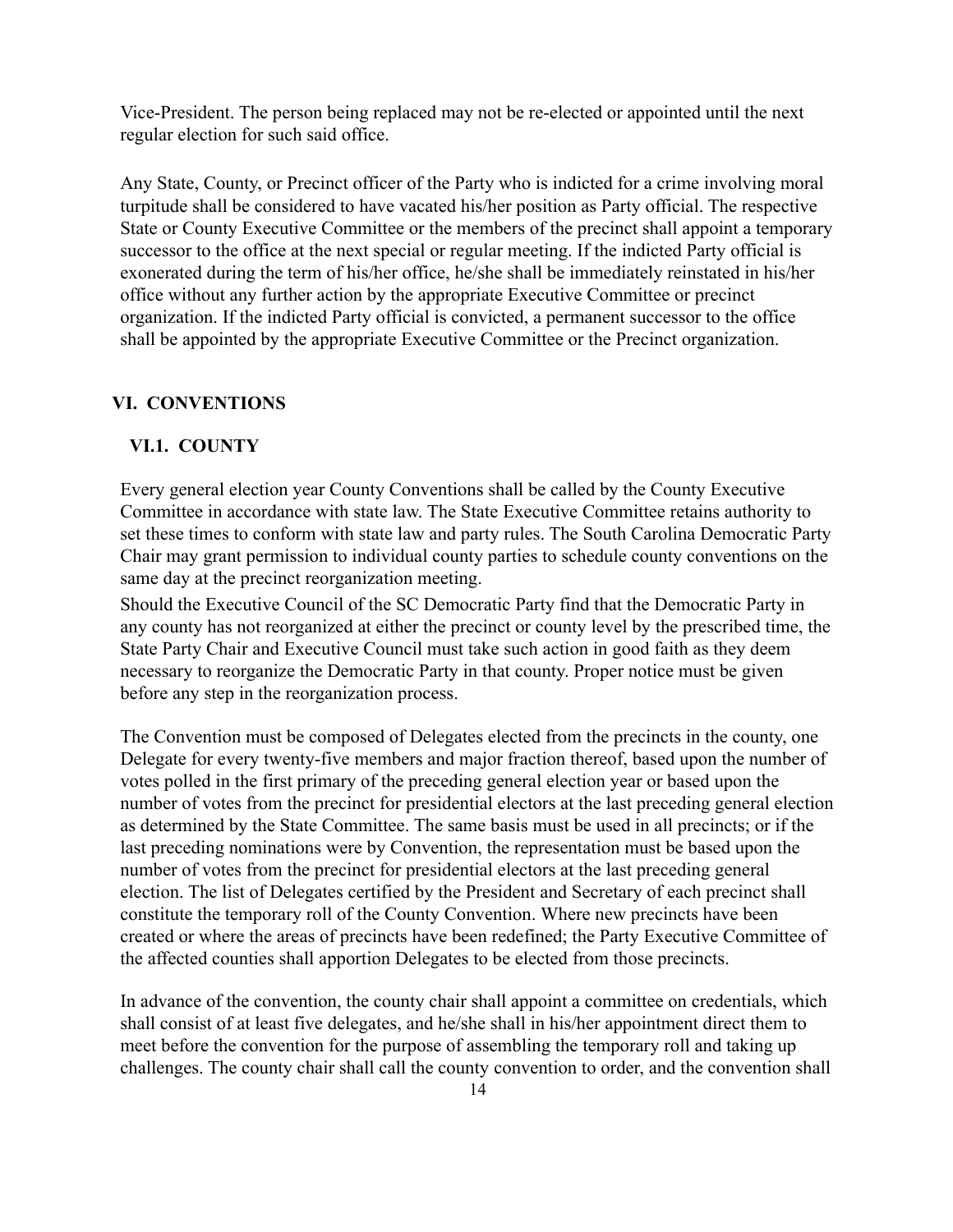Vice-President. The person being replaced may not be re-elected or appointed until the next regular election for such said office.

Any State, County, or Precinct officer of the Party who is indicted for a crime involving moral turpitude shall be considered to have vacated his/her position as Party official. The respective State or County Executive Committee or the members of the precinct shall appoint a temporary successor to the office at the next special or regular meeting. If the indicted Party official is exonerated during the term of his/her office, he/she shall be immediately reinstated in his/her office without any further action by the appropriate Executive Committee or precinct organization. If the indicted Party official is convicted, a permanent successor to the office shall be appointed by the appropriate Executive Committee or the Precinct organization.

#### **VI. CONVENTIONS**

#### **VI.1. COUNT<**

Every general election year County Conventions shall be called by the County Executive Committee in accordance with state law. The State Executive Committee retains authority to set these times to conform with state law and party rules. The South Carolina Democratic Party Chair may grant permission to individual county parties to schedule county conventions on the same day at the precinct reorganization meeting.

Should the Executive Council of the SC Democratic Party find that the Democratic Party in any county has not reorganized at either the precinct or county level by the prescribed time, the State Party Chair and Executive Council must take such action in good faith as they deem necessary to reorganize the Democratic Party in that county. Proper notice must be given before any step in the reorganization process.

The Convention must be composed of Delegates elected from the precincts in the county, one Delegate for every twenty-five members and major fraction thereof, based upon the number of yotes polled in the first primary of the preceding general election year or based upon the number of votes from the precinct for presidential electors at the last preceding general election as determined by the State Committee. The same basis must be used in all precincts; or if the last preceding nominations were by Convention, the representation must be based upon the number of votes from the precinct for presidential electors at the last preceding general election. The list of Delegates certified by the President and Secretary of each precinct shall constitute the temporary roll of the County Convention. Where new precincts have been created or where the areas of precincts have been redefined; the Party Executive Committee of the affected counties shall apportion Delegates to be elected from those precincts.

In advance of the convention, the county chair shall appoint a committee on credentials, which shall consist of at least five delegates, and he/she shall in his/her appointment direct them to meet before the convention for the purpose of assembling the temporary roll and taking up challenges. The county chair shall call the county convention to order, and the convention shall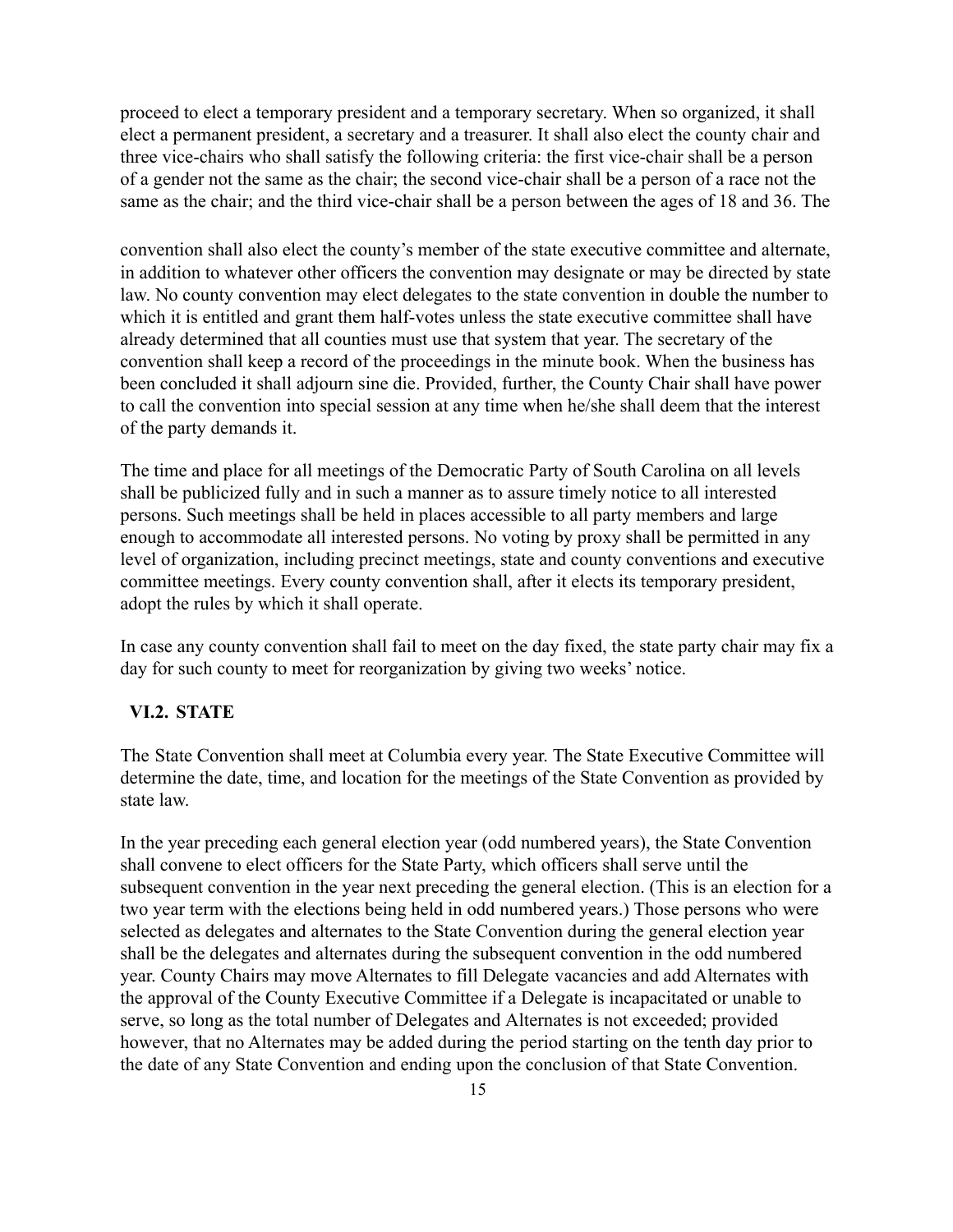proceed to elect a temporary president and a temporary secretary. When so organized, it shall elect a permanent president, a secretary and a treasurer. It shall also elect the county chair and three vice-chairs who shall satisfy the following criteria: the first vice-chair shall be a person of a gender not the same as the chair; the second Yice-chair shall be a person of a race not the same as the chair; and the third vice-chair shall be a person between the ages of 18 and 36. The

convention shall also elect the county's member of the state executive committee and alternate, in addition to whatever other officers the convention may designate or may be directed by state law. No county convention may elect delegates to the state convention in double the number to which it is entitled and grant them half-votes unless the state executive committee shall have already determined that all counties must use that system that year. The secretary of the convention shall keep a record of the proceedings in the minute book. When the business has been concluded it shall adjourn sine die. Provided, further, the County Chair shall have power to call the convention into special session at any time when he/she shall deem that the interest of the party demands it.

The time and place for all meetings of the Democratic Party of South Carolina on all levels shall be publicized fully and in such a manner as to assure timely notice to all interested persons. Such meetings shall be held in places accessible to all party members and large enough to accommodate all interested persons. No voting by proxy shall be permitted in any level of organization, including precinct meetings, state and county conventions and executive committee meetings. Every county convention shall, after it elects its temporary president, adopt the rules by which it shall operate.

In case any county convention shall fail to meet on the day fixed, the state party chair may fix a day for such county to meet for reorganization by giving two weeks' notice.

#### **VI.2. STATE**

The State Convention shall meet at Columbia every year. The State Executive Committee will determine the date, time, and location for the meetings of the State Convention as provided by state law.

In the year preceding each general election year (odd numbered years), the State Convention shall convene to elect officers for the State Party, which officers shall serve until the subsequent convention in the year next preceding the general election. (This is an election for a two year term with the elections being held in odd numbered years.) Those persons who were selected as delegates and alternates to the State Convention during the general election year shall be the delegates and alternates during the subsequent convention in the odd numbered year. County Chairs may move Alternates to fill Delegate vacancies and add Alternates with the approval of the County Executive Committee if a Delegate is incapacitated or unable to serve, so long as the total number of Delegates and Alternates is not exceeded; provided however, that no Alternates may be added during the period starting on the tenth day prior to the date of any State Convention and ending upon the conclusion of that State Convention.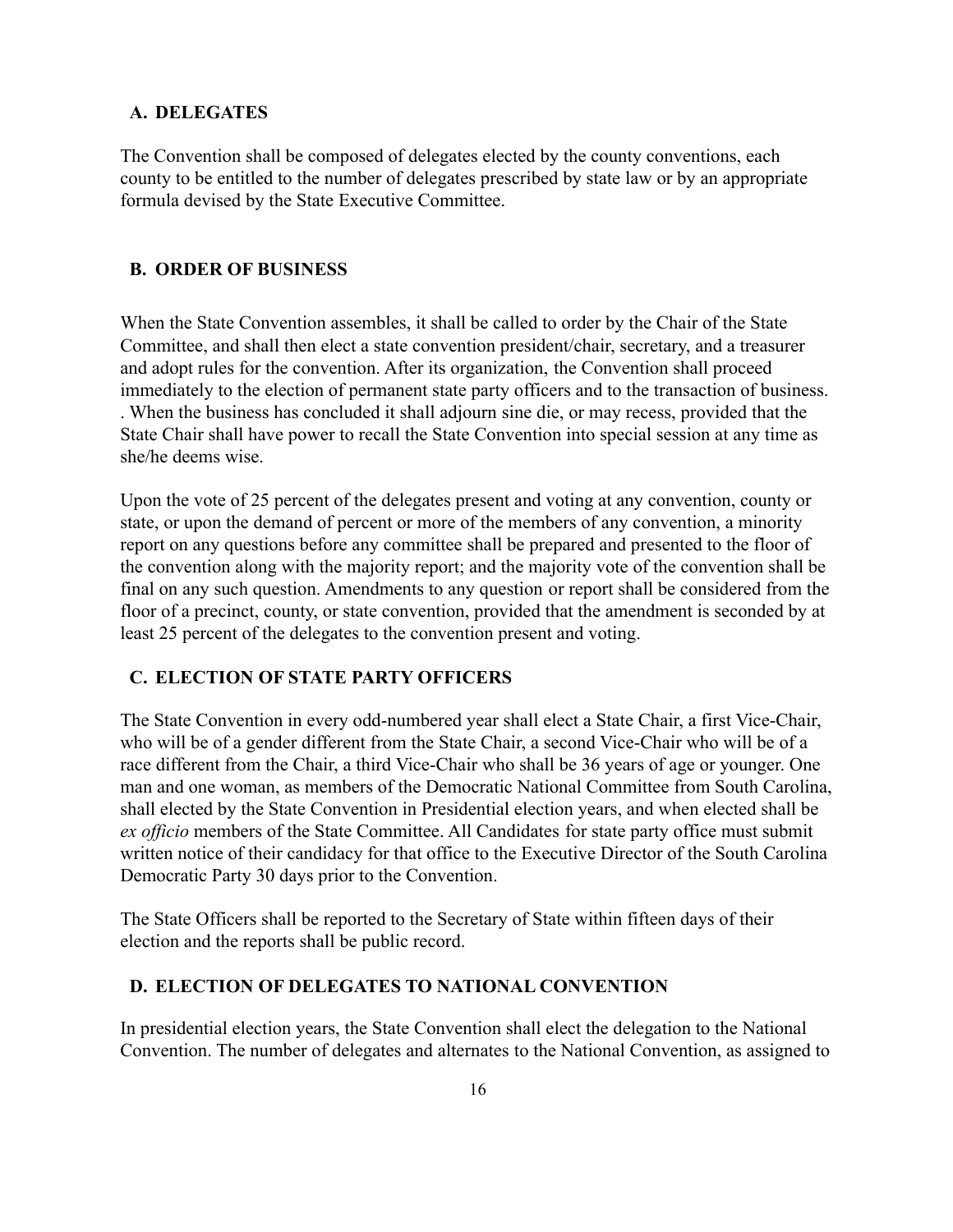#### **A. DELEGATES**

The Convention shall be composed of delegates elected by the county conventions, each county to be entitled to the number of delegates prescribed by state law or by an appropriate formula devised by the State Executive Committee.

#### **B. ORDER OF BUSINESS**

When the State Convention assembles, it shall be called to order by the Chair of the State Committee, and shall then elect a state convention president/chair, secretary, and a treasurer and adopt rules for the convention. After its organization, the Convention shall proceed immediately to the election of permanent state party officers and to the transaction of business. . When the business has concluded it shall adjourn sine die, or may recess, provided that the State Chair shall have power to recall the State Convention into special session at any time as she/he deems wise.

Upon the vote of 25 percent of the delegates present and voting at any convention, county or state, or upon the demand of percent or more of the members of any convention, a minority report on any questions before any committee shall be prepared and presented to the floor of the convention along with the majority report; and the majority vote of the convention shall be final on any such question. Amendments to any question or report shall be considered from the floor of a precinct, county, or state convention, provided that the amendment is seconded by at least 25 percent of the delegates to the convention present and voting.

#### **C. ELECTION OF STATE PART< OFFICERS**

The State Convention in every odd-numbered year shall elect a State Chair, a first Vice-Chair, who will be of a gender different from the State Chair, a second Vice-Chair who will be of a race different from the Chair, a third Vice-Chair who shall be 36 years of age or younger. One man and one woman, as members of the Democratic National Committee from South Carolina, shall elected by the State Convention in Presidential election years, and when elected shall be *ex officio* members of the State Committee. All Candidates for state party office must submit written notice of their candidacy for that office to the Executive Director of the South Carolina Democratic Party 30 days prior to the Convention.

The State Officers shall be reported to the Secretary of State within fifteen days of their election and the reports shall be public record.

## **D. ELECTION OF DELEGATES TO NATIONAL CONVENTION**

In presidential election years, the State Convention shall elect the delegation to the National Convention. The number of delegates and alternates to the National Convention, as assigned to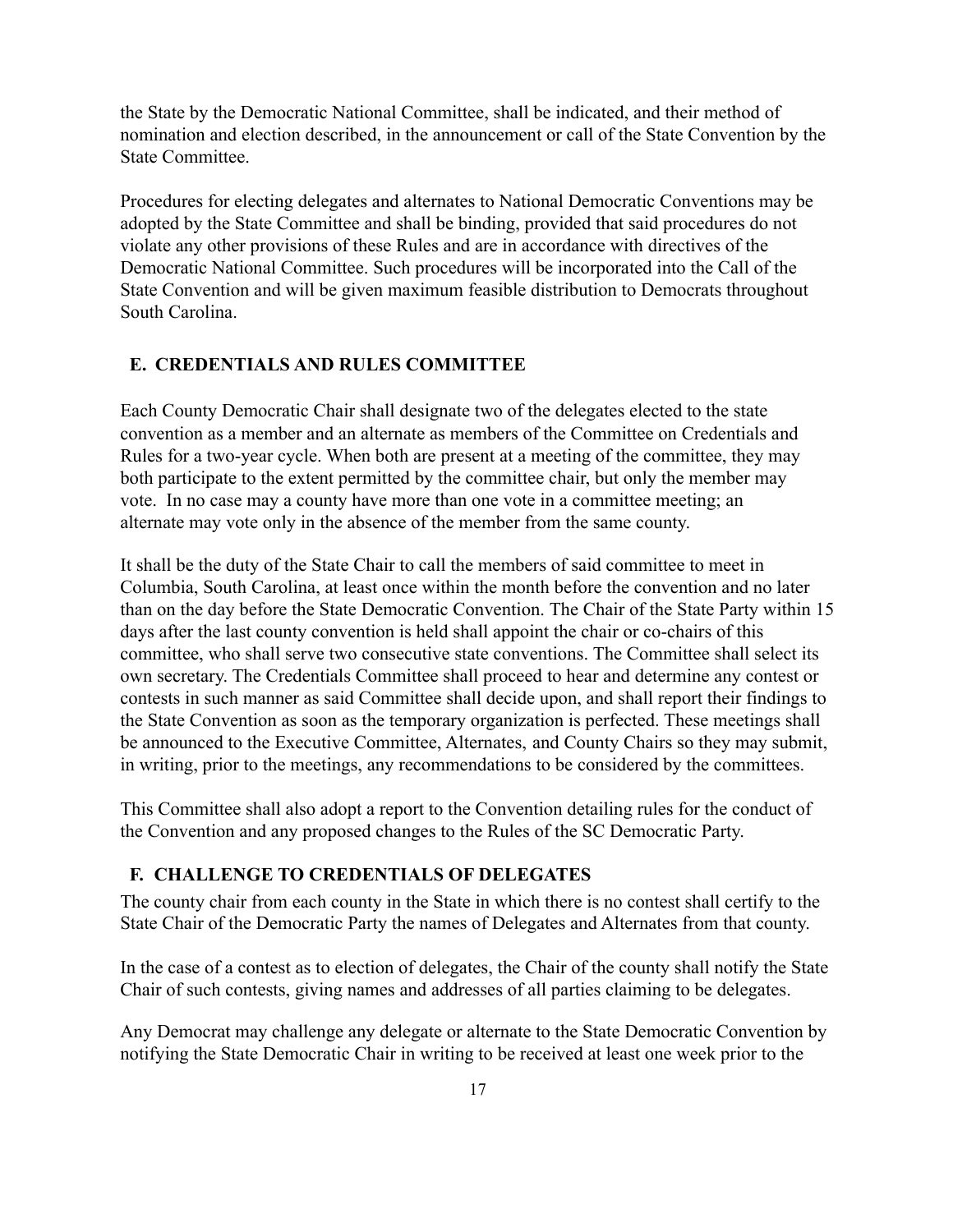the State by the Democratic National Committee, shall be indicated, and their method of nomination and election described, in the announcement or call of the State Convention by the State Committee.

Procedures for electing delegates and alternates to National Democratic Conventions may be adopted by the State Committee and shall be binding, provided that said procedures do not violate any other provisions of these Rules and are in accordance with directives of the Democratic National Committee. Such procedures will be incorporated into the Call of the State Convention and will be given maximum feasible distribution to Democrats throughout South Carolina.

#### **E. CREDENTIALS AND RULES COMMITTEE**

Each County Democratic Chair shall designate two of the delegates elected to the state convention as a member and an alternate as members of the Committee on Credentials and Rules for a two-year cycle. When both are present at a meeting of the committee, they may both participate to the extent permitted by the committee chair, but only the member may vote. In no case may a county have more than one vote in a committee meeting; an alternate may vote only in the absence of the member from the same county.

It shall be the duty of the State Chair to call the members of said committee to meet in Columbia, South Carolina, at least once within the month before the convention and no later than on the day before the State Democratic Convention. The Chair of the State Party within 15 days after the last county convention is held shall appoint the chair or co-chairs of this committee, who shall serve two consecutive state conventions. The Committee shall select its own secretary. The Credentials Committee shall proceed to hear and determine any contest or contests in such manner as said Committee shall decide upon, and shall report their findings to the State Convention as soon as the temporary organization is perfected. These meetings shall be announced to the Executive Committee, Alternates, and County Chairs so they may submit, in writing, prior to the meetings, any recommendations to be considered by the committees.

This Committee shall also adopt a report to the Convention detailing rules for the conduct of the Convention and any proposed changes to the Rules of the SC Democratic Party.

#### **F. CHALLENGE TO CREDENTIALS OF DELEGATES**

The county chair from each county in the State in which there is no contest shall certify to the State Chair of the Democratic Party the names of Delegates and Alternates from that county.

In the case of a contest as to election of delegates, the Chair of the county shall notify the State Chair of such contests, giving names and addresses of all parties claiming to be delegates.

Any Democrat may challenge any delegate or alternate to the State Democratic Convention by notifying the State Democratic Chair in writing to be received at least one week prior to the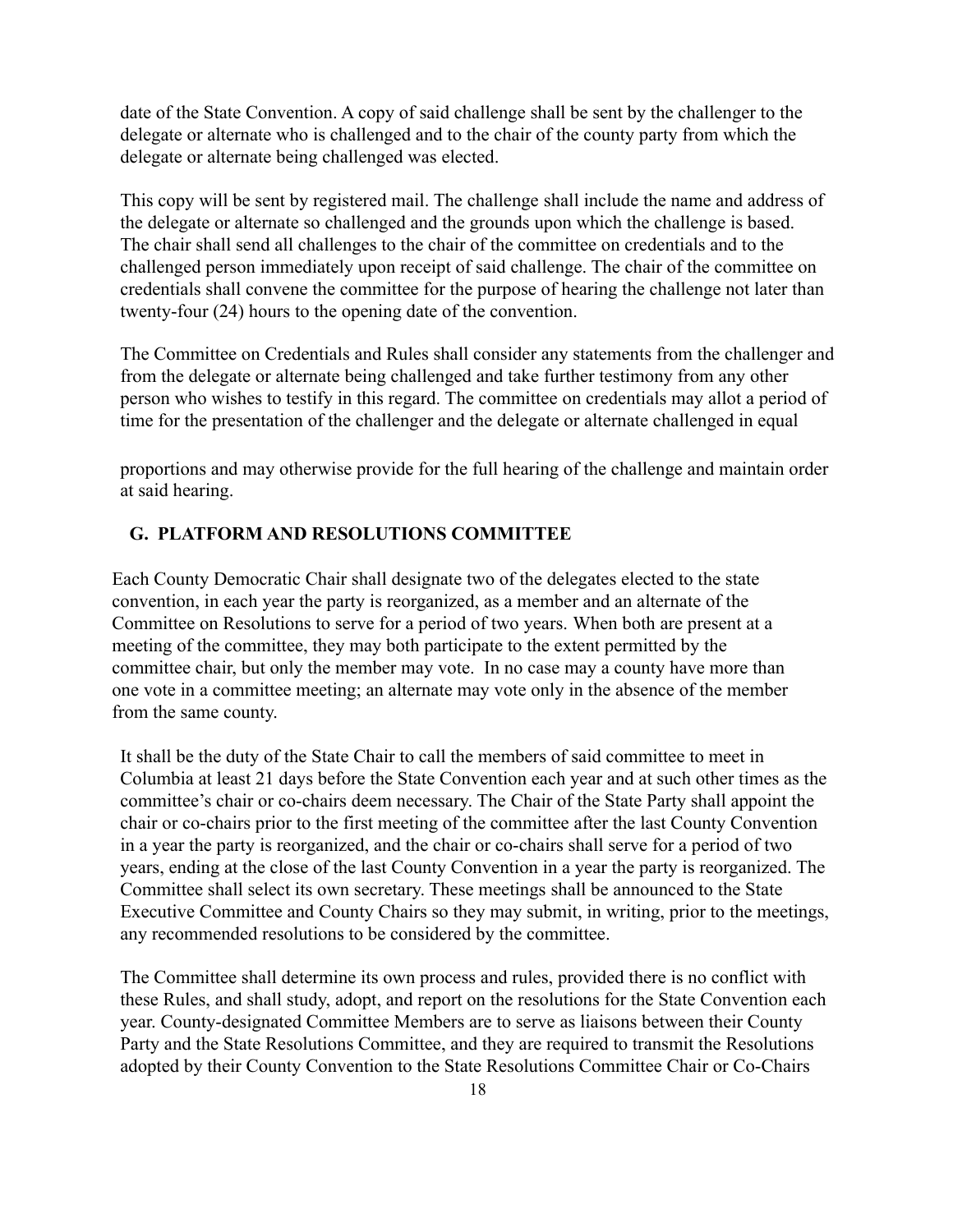date of the State Convention. A copy of said challenge shall be sent by the challenger to the delegate or alternate who is challenged and to the chair of the county party from which the delegate or alternate being challenged was elected.

This copy will be sent by registered mail. The challenge shall include the name and address of the delegate or alternate so challenged and the grounds upon which the challenge is based. The chair shall send all challenges to the chair of the committee on credentials and to the challenged person immediately upon receipt of said challenge. The chair of the committee on credentials shall convene the committee for the purpose of hearing the challenge not later than twenty-four  $(24)$  hours to the opening date of the convention.

The Committee on Credentials and Rules shall consider any statements from the challenger and from the delegate or alternate being challenged and take further testimony from any other person who wishes to testify in this regard. The committee on credentials may allot a period of time for the presentation of the challenger and the delegate or alternate challenged in equal

proportions and may otherwise provide for the full hearing of the challenge and maintain order at said hearing.

#### **G. PLATFORM AND RESOLUTIONS COMMITTEE**

Each County Democratic Chair shall designate two of the delegates elected to the state convention, in each year the party is reorganized, as a member and an alternate of the Committee on Resolutions to serve for a period of two years. When both are present at a meeting of the committee, they may both participate to the extent permitted by the committee chair, but only the member may vote. In no case may a county have more than one Yote in a committee meeting; an alternate ma\ Yote onl\ in the absence of the member from the same county.

It shall be the duty of the State Chair to call the members of said committee to meet in Columbia at least 21 days before the State Convention each year and at such other times as the committee's chair or co-chairs deem necessary. The Chair of the State Party shall appoint the chair or co-chairs prior to the first meeting of the committee after the last County Convention in a year the party is reorganized, and the chair or co-chairs shall serve for a period of two years, ending at the close of the last County Convention in a year the party is reorganized. The Committee shall select its own secretary. These meetings shall be announced to the State Executive Committee and County Chairs so they may submit, in writing, prior to the meetings, any recommended resolutions to be considered by the committee.

The Committee shall determine its own process and rules, provided there is no conflict with these Rules, and shall study, adopt, and report on the resolutions for the State Convention each year. County-designated Committee Members are to serve as liaisons between their County Party and the State Resolutions Committee, and they are required to transmit the Resolutions adopted by their County Convention to the State Resolutions Committee Chair or Co-Chairs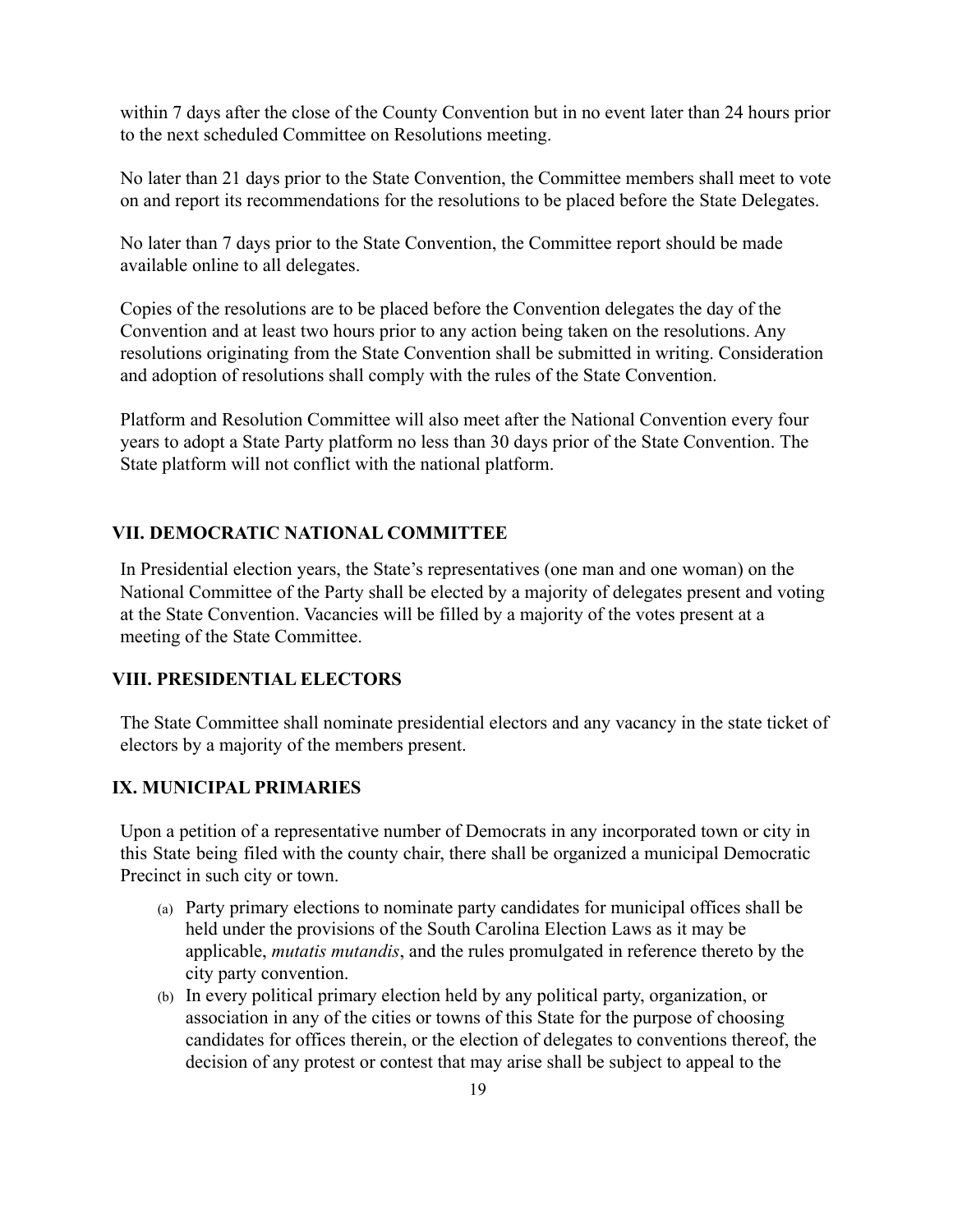within 7 days after the close of the County Convention but in no event later than 24 hours prior to the next scheduled Committee on Resolutions meeting.

No later than 21 days prior to the State Convention, the Committee members shall meet to vote on and report its recommendations for the resolutions to be placed before the State Delegates.

No later than 7 days prior to the State Convention, the Committee report should be made available online to all delegates.

Copies of the resolutions are to be placed before the Convention delegates the day of the Convention and at least two hours prior to any action being taken on the resolutions. Any resolutions originating from the State Convention shall be submitted in writing. Consideration and adoption of resolutions shall comply with the rules of the State Convention.

Platform and Resolution Committee will also meet after the National Convention every four years to adopt a State Party platform no less than 30 days prior of the State Convention. The State platform will not conflict with the national platform.

# **VII. DEMOCRATIC NATIONAL COMMITTEE**

In Presidential election years, the State's representatives (one man and one woman) on the National Committee of the Party shall be elected by a majority of delegates present and voting at the State Convention. Vacancies will be filled by a majority of the votes present at a meeting of the State Committee.

#### **VIII. PRESIDENTIAL ELECTORS**

The State Committee shall nominate presidential electors and any vacancy in the state ticket of electors by a majority of the members present.

#### **IX. MUNICIPAL PRIMARIES**

Upon a petition of a representative number of Democrats in any incorporated town or city in this State being filed with the county chair, there shall be organized a municipal Democratic Precinct in such city or town.

- (a) Party primary elections to nominate party candidates for municipal offices shall be held under the provisions of the South Carolina Election Laws as it may be applicable, *mutatis mutandis*, and the rules promulgated in reference thereto by the city party convention.
- $(b)$  In every political primary election held by any political party, organization, or association in any of the cities or towns of this State for the purpose of choosing candidates for offices therein, or the election of delegates to conventions thereof, the decision of any protest or contest that may arise shall be subject to appeal to the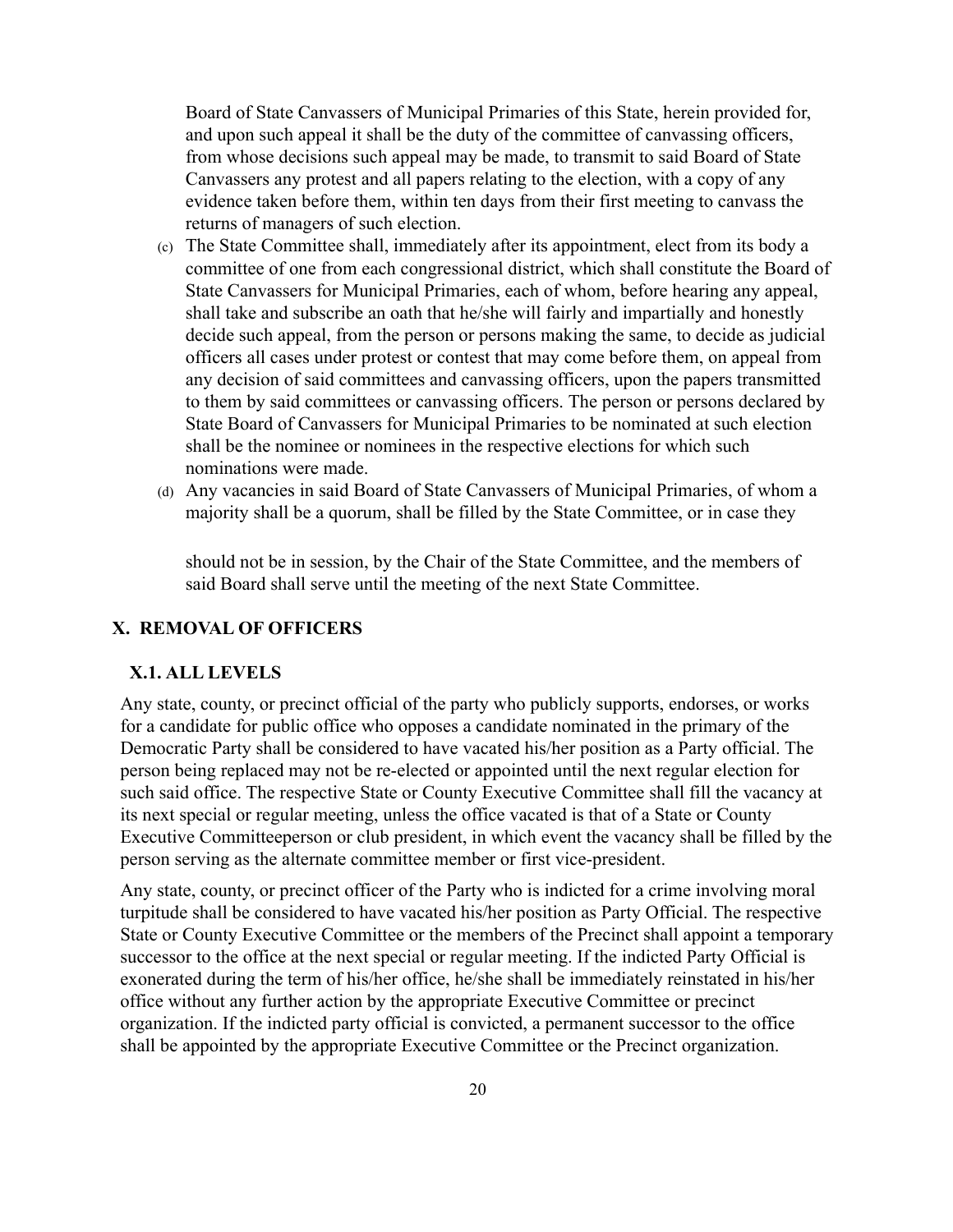Board of State Canyassers of Municipal Primaries of this State, herein provided for, and upon such appeal it shall be the duty of the committee of cany assing officers, from whose decisions such appeal may be made, to transmit to said Board of State Canyassers any protest and all papers relating to the election, with a copy of any evidence taken before them, within ten days from their first meeting to canyass the returns of managers of such election.

- (c) The State Committee shall, immediatel\ after its appointment, elect from its bod\ a committee of one from each congressional district, which shall constitute the Board of State Canyassers for Municipal Primaries, each of whom, before hearing any appeal, shall take and subscribe an oath that he/she will fairly and impartially and honestly decide such appeal, from the person or persons making the same, to decide as judicial officers all cases under protest or contest that ma\ come before them, on appeal from any decision of said committees and cany assing officers, upon the papers transmitted to them by said committees or cany assing officers. The person or persons declared by State Board of CanYassers for Municipal Primaries to be nominated at such election shall be the nominee or nominees in the respective elections for which such nominations were made.
- (d) Any vacancies in said Board of State Canyassers of Municipal Primaries, of whom a majority shall be a quorum, shall be filled by the State Committee, or in case they

should not be in session, by the Chair of the State Committee, and the members of said Board shall serve until the meeting of the next State Committee.

#### **;. REMOVAL OF OFFICERS**

#### **;.1. ALL LEVELS**

Any state, county, or precinct official of the party who publicly supports, endorses, or works for a candidate for public office who opposes a candidate nominated in the primary of the Democratic Party shall be considered to have vacated his/her position as a Party official. The person being replaced may not be re-elected or appointed until the next regular election for such said office. The respective State or County Executive Committee shall fill the vacancy at its next special or regular meeting, unless the office vacated is that of a State or County Executive Committeeperson or club president, in which event the vacancy shall be filled by the person serving as the alternate committee member or first vice-president.

Any state, county, or precinct officer of the Party who is indicted for a crime involving moral turpitude shall be considered to have vacated his/her position as Party Official. The respective State or County Executive Committee or the members of the Precinct shall appoint a temporary successor to the office at the next special or regular meeting. If the indicted Party Official is exonerated during the term of his/her office, he/she shall be immediately reinstated in his/her office without any further action by the appropriate Executive Committee or precinct organization. If the indicted party official is convicted, a permanent successor to the office shall be appointed by the appropriate Executive Committee or the Precinct organization.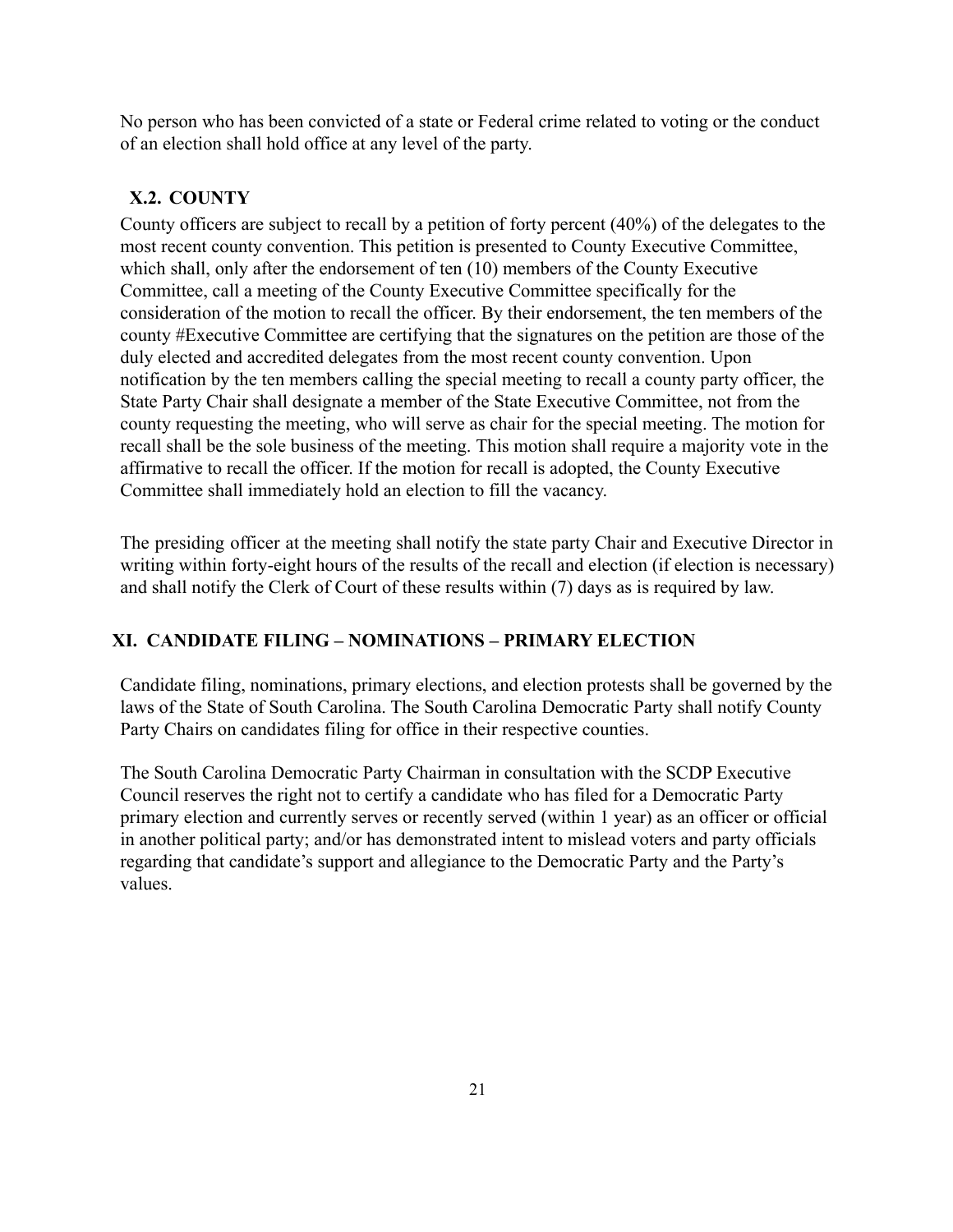No person who has been convicted of a state or Federal crime related to voting or the conduct of an election shall hold office at any level of the party.

# **;.2. COUNT<**

County officers are subject to recall by a petition of forty percent  $(40\%)$  of the delegates to the most recent county convention. This petition is presented to County Executive Committee, which shall, only after the endorsement of ten  $(10)$  members of the County Executive Committee, call a meeting of the County Executive Committee specifically for the consideration of the motion to recall the officer. By their endorsement, the ten members of the county #Executive Committee are certifying that the signatures on the petition are those of the duly elected and accredited delegates from the most recent county convention. Upon notification by the ten members calling the special meeting to recall a county party officer, the State Party Chair shall designate a member of the State Executive Committee, not from the county requesting the meeting, who will serve as chair for the special meeting. The motion for recall shall be the sole business of the meeting. This motion shall require a majority vote in the affirmative to recall the officer. If the motion for recall is adopted, the County Executive Committee shall immediately hold an election to fill the vacancy.

The presiding officer at the meeting shall notify the state party Chair and Executive Director in writing within forty-eight hours of the results of the recall and election (if election is necessary) and shall notify the Clerk of Court of these results within  $(7)$  days as is required by law.

# **;I. CANDIDATE FILING ± NOMINATIONS ± PRIMAR< ELECTION**

Candidate filing, nominations, primary elections, and election protests shall be governed by the laws of the State of South Carolina. The South Carolina Democratic Party shall notify County Party Chairs on candidates filing for office in their respective counties.

The South Carolina Democratic Party Chairman in consultation with the SCDP Executive Council reserves the right not to certify a candidate who has filed for a Democratic Party primary election and currently serves or recently served (within 1 year) as an officer or official in another political party; and/or has demonstrated intent to mislead voters and party officials regarding that candidate's support and allegiance to the Democratic Party and the Party's Yalues.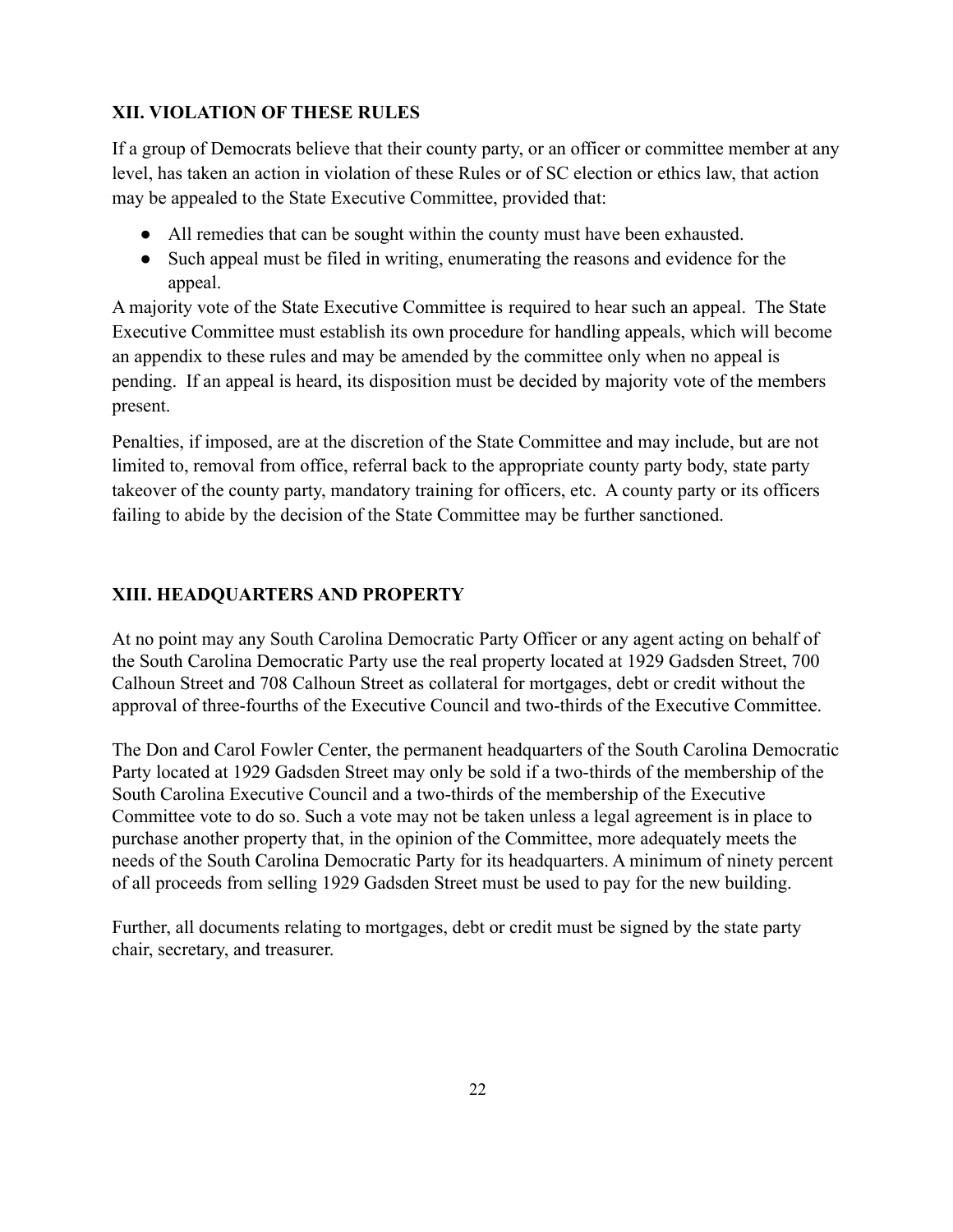# **;II. VIOLATION OF THESE RULES**

If a group of Democrats believe that their county party, or an officer or committee member at any level, has taken an action in violation of these Rules or of SC election or ethics law, that action may be appealed to the State Executive Committee, provided that:

- $\bullet$  All remedies that can be sought within the county must have been exhausted.
- Such appeal must be filed in writing, enumerating the reasons and evidence for the appeal.

A majority vote of the State Executive Committee is required to hear such an appeal. The State Executive Committee must establish its own procedure for handling appeals, which will become an appendix to these rules and may be amended by the committee only when no appeal is pending. If an appeal is heard, its disposition must be decided by majority vote of the members present.

Penalties, if imposed, are at the discretion of the State Committee and may include, but are not limited to, removal from office, referral back to the appropriate county party body, state party takeover of the county party, mandatory training for officers, etc. A county party or its officers failing to abide by the decision of the State Committee may be further sanctioned.

# **;III. HEADQUARTERS AND PROPERT<**

At no point may any South Carolina Democratic Party Officer or any agent acting on behalf of the South Carolina Democratic Party use the real property located at 1929 Gadsden Street, 700 Calhoun Street and 708 Calhoun Street as collateral for mortgages, debt or credit without the approval of three-fourths of the Executive Council and two-thirds of the Executive Committee.

The Don and Carol Fowler Center, the permanent headquarters of the South Carolina Democratic Party located at 1929 Gadsden Street may only be sold if a two-thirds of the membership of the South Carolina Executive Council and a two-thirds of the membership of the Executive Committee vote to do so. Such a vote may not be taken unless a legal agreement is in place to purchase another property that, in the opinion of the Committee, more adequately meets the needs of the South Carolina Democratic Party for its headquarters. A minimum of ninety percent of all proceeds from selling 1929 Gadsden Street must be used to pay for the new building.

Further, all documents relating to mortgages, debt or credit must be signed by the state party chair, secretary, and treasurer.